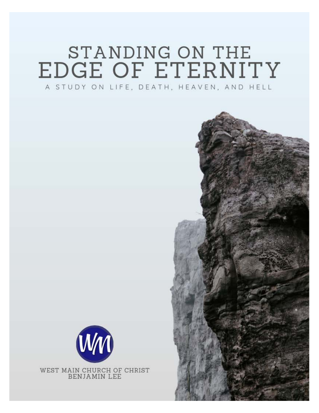# STANDING ON THE EDGE OF ETERNITY A STUDY ON LIFE, DEATH, HEAVEN, AND HELL



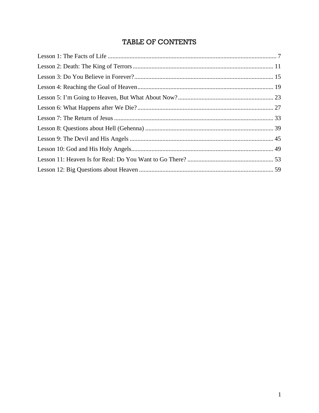## TABLE OF CONTENTS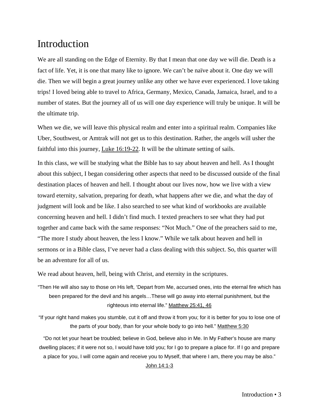We are all standing on the Edge of Eternity. By that I mean that one day we will die. Death is a fact of life. Yet, it is one that many like to ignore. We can't be naïve about it. One day we will die. Then we will begin a great journey unlike any other we have ever experienced. I love taking trips! I loved being able to travel to Africa, Germany, Mexico, Canada, Jamaica, Israel, and to a number of states. But the journey all of us will one day experience will truly be unique. It will be the ultimate trip.

When we die, we will leave this physical realm and enter into a spiritual realm. Companies like Uber, Southwest, or Amtrak will not get us to this destination. Rather, the angels will usher the faithful into this journey, Luke 16:19-22. It will be the ultimate setting of sails.

In this class, we will be studying what the Bible has to say about heaven and hell. As I thought about this subject, I began considering other aspects that need to be discussed outside of the final destination places of heaven and hell. I thought about our lives now, how we live with a view toward eternity, salvation, preparing for death, what happens after we die, and what the day of judgment will look and be like. I also searched to see what kind of workbooks are available concerning heaven and hell. I didn't find much. I texted preachers to see what they had put together and came back with the same responses: "Not Much." One of the preachers said to me, "The more I study about heaven, the less I know." While we talk about heaven and hell in sermons or in a Bible class, I've never had a class dealing with this subject. So, this quarter will be an adventure for all of us.

We read about heaven, hell, being with Christ, and eternity in the scriptures.

"Then He will also say to those on His left, 'Depart from Me, accursed ones, into the eternal fire which has been prepared for the devil and his angels…These will go away into eternal punishment, but the righteous into eternal life." Matthew 25:41, 46

"If your right hand makes you stumble, cut it off and throw it from you; for it is better for you to lose one of the parts of your body, than for your whole body to go into hell." Matthew 5:30

"Do not let your heart be troubled; believe in God, believe also in Me. In My Father's house are many dwelling places; if it were not so, I would have told you; for I go to prepare a place for. If I go and prepare a place for you, I will come again and receive you to Myself, that where I am, there you may be also."

John 14:1-3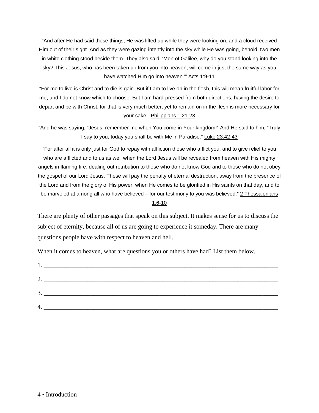"And after He had said these things, He was lifted up while they were looking on, and a cloud received Him out of their sight. And as they were gazing intently into the sky while He was going, behold, two men in white clothing stood beside them. They also said, 'Men of Galilee, why do you stand looking into the sky? This Jesus, who has been taken up from you into heaven, will come in just the same way as you have watched Him go into heaven.'" Acts 1:9-11

"For me to live is Christ and to die is gain. But if I am to live on in the flesh, this will mean fruitful labor for me; and I do not know which to choose. But I am hard-pressed from both directions, having the desire to depart and be with Christ, for that is very much better; yet to remain on in the flesh is more necessary for your sake." Philippians 1:21-23

"And he was saying, "Jesus, remember me when You come in Your kingdom!" And He said to him, "Truly I say to you, today you shall be with Me in Paradise." Luke 23:42-43

"For after all it is only just for God to repay with affliction those who afflict you, and to give relief to you who are afflicted and to us as well when the Lord Jesus will be revealed from heaven with His mighty angels in flaming fire, dealing out retribution to those who do not know God and to those who do not obey the gospel of our Lord Jesus. These will pay the penalty of eternal destruction, away from the presence of the Lord and from the glory of His power, when He comes to be glorified in His saints on that day, and to be marveled at among all who have believed – for our testimony to you was believed." 2 Thessalonians 1:6-10

There are plenty of other passages that speak on this subject. It makes sense for us to discuss the subject of eternity, because all of us are going to experience it someday. There are many questions people have with respect to heaven and hell.

When it comes to heaven, what are questions you or others have had? List them below.

| 2. |                                               |
|----|-----------------------------------------------|
|    |                                               |
| 3. |                                               |
|    |                                               |
| 4. | <u> 1980 - Andrea Andrew Maria (h. 1980).</u> |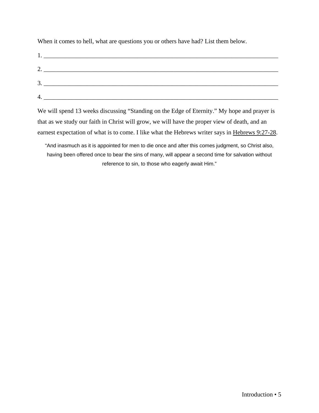When it comes to hell, what are questions you or others have had? List them below.

| $\mathbf{1}$ .          |                                                                                                                      |
|-------------------------|----------------------------------------------------------------------------------------------------------------------|
| $\mathcal{L}_{\bullet}$ |                                                                                                                      |
| 3<br>ິ.                 |                                                                                                                      |
|                         | <u> 1980 - Jan Stein Stein Stein Stein Stein Stein Stein Stein Stein Stein Stein Stein Stein Stein Stein Stein S</u> |
|                         |                                                                                                                      |

We will spend 13 weeks discussing "Standing on the Edge of Eternity." My hope and prayer is that as we study our faith in Christ will grow, we will have the proper view of death, and an earnest expectation of what is to come. I like what the Hebrews writer says in Hebrews 9:27-28.

"And inasmuch as it is appointed for men to die once and after this comes judgment, so Christ also, having been offered once to bear the sins of many, will appear a second time for salvation without reference to sin, to those who eagerly await Him."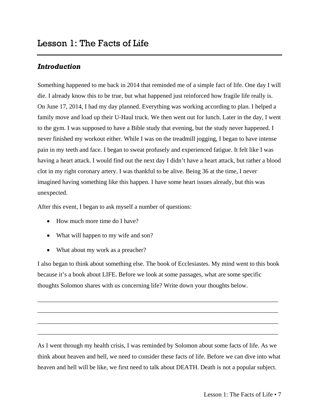<span id="page-8-0"></span>Something happened to me back in 2014 that reminded me of a simple fact of life. One day I will die. I already know this to be true, but what happened just reinforced how fragile life really is. On June 17, 2014, I had my day planned. Everything was working according to plan. I helped a family move and load up their U-Haul truck. We then went out for lunch. Later in the day, I went to the gym. I was supposed to have a Bible study that evening, but the study never happened. I never finished my workout either. While I was on the treadmill jogging, I began to have intense pain in my teeth and face. I began to sweat profusely and experienced fatigue. It felt like I was having a heart attack. I would find out the next day I didn't have a heart attack, but rather a blood clot in my right coronary artery. I was thankful to be alive. Being 36 at the time, I never imagined having something like this happen. I have some heart issues already, but this was unexpected.

After this event, I began to ask myself a number of questions:

- How much more time do I have?
- What will happen to my wife and son?
- What about my work as a preacher?

I also began to think about something else. The book of Ecclesiastes. My mind went to this book because it's a book about LIFE. Before we look at some passages, what are some specific thoughts Solomon shares with us concerning life? Write down your thoughts below.

\_\_\_\_\_\_\_\_\_\_\_\_\_\_\_\_\_\_\_\_\_\_\_\_\_\_\_\_\_\_\_\_\_\_\_\_\_\_\_\_\_\_\_\_\_\_\_\_\_\_\_\_\_\_\_\_\_\_\_\_\_\_\_\_\_\_\_\_\_\_\_\_\_\_\_\_\_

\_\_\_\_\_\_\_\_\_\_\_\_\_\_\_\_\_\_\_\_\_\_\_\_\_\_\_\_\_\_\_\_\_\_\_\_\_\_\_\_\_\_\_\_\_\_\_\_\_\_\_\_\_\_\_\_\_\_\_\_\_\_\_\_\_\_\_\_\_\_\_\_\_\_\_\_\_

\_\_\_\_\_\_\_\_\_\_\_\_\_\_\_\_\_\_\_\_\_\_\_\_\_\_\_\_\_\_\_\_\_\_\_\_\_\_\_\_\_\_\_\_\_\_\_\_\_\_\_\_\_\_\_\_\_\_\_\_\_\_\_\_\_\_\_\_\_\_\_\_\_\_\_\_\_

\_\_\_\_\_\_\_\_\_\_\_\_\_\_\_\_\_\_\_\_\_\_\_\_\_\_\_\_\_\_\_\_\_\_\_\_\_\_\_\_\_\_\_\_\_\_\_\_\_\_\_\_\_\_\_\_\_\_\_\_\_\_\_\_\_\_\_\_\_\_\_\_\_\_\_\_\_

As I went through my health crisis, I was reminded by Solomon about some facts of life. As we think about heaven and hell, we need to consider these facts of life. Before we can dive into what heaven and hell will be like, we first need to talk about DEATH. Death is not a popular subject.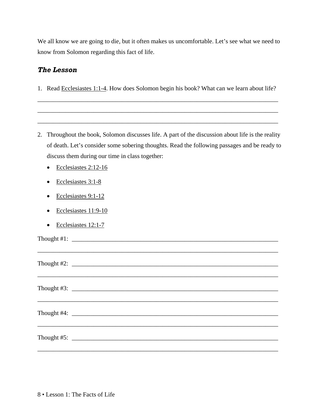We all know we are going to die, but it often makes us uncomfortable. Let's see what we need to know from Solomon regarding this fact of life.

#### *The Lesson*

1. Read Ecclesiastes 1:1-4. How does Solomon begin his book? What can we learn about life?

\_\_\_\_\_\_\_\_\_\_\_\_\_\_\_\_\_\_\_\_\_\_\_\_\_\_\_\_\_\_\_\_\_\_\_\_\_\_\_\_\_\_\_\_\_\_\_\_\_\_\_\_\_\_\_\_\_\_\_\_\_\_\_\_\_\_\_\_\_\_\_\_\_\_\_\_\_

\_\_\_\_\_\_\_\_\_\_\_\_\_\_\_\_\_\_\_\_\_\_\_\_\_\_\_\_\_\_\_\_\_\_\_\_\_\_\_\_\_\_\_\_\_\_\_\_\_\_\_\_\_\_\_\_\_\_\_\_\_\_\_\_\_\_\_\_\_\_\_\_\_\_\_\_\_

\_\_\_\_\_\_\_\_\_\_\_\_\_\_\_\_\_\_\_\_\_\_\_\_\_\_\_\_\_\_\_\_\_\_\_\_\_\_\_\_\_\_\_\_\_\_\_\_\_\_\_\_\_\_\_\_\_\_\_\_\_\_\_\_\_\_\_\_\_\_\_\_\_\_\_\_\_

- 2. Throughout the book, Solomon discusses life. A part of the discussion about life is the reality of death. Let's consider some sobering thoughts. Read the following passages and be ready to discuss them during our time in class together:
	- Ecclesiastes 2:12-16
	- Ecclesiastes 3:1-8
	- Ecclesiastes 9:1-12
	- Ecclesiastes 11:9-10
	- Ecclesiastes 12:1-7

Thought #1: \_\_\_\_\_\_\_\_\_\_\_\_\_\_\_\_\_\_\_\_\_\_\_\_\_\_\_\_\_\_\_\_\_\_\_\_\_\_\_\_\_\_\_\_\_\_\_\_\_\_\_\_\_\_\_\_\_\_\_\_\_\_\_\_\_\_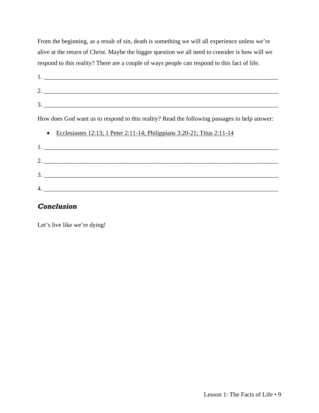From the beginning, as a result of sin, death is something we will all experience unless we're alive at the return of Christ. Maybe the bigger question we all need to consider is how will we respond to this reality? There are a couple of ways people can respond to this fact of life.

| $2.$ $\overline{\phantom{a}}$                                                                |
|----------------------------------------------------------------------------------------------|
| 3.                                                                                           |
| How does God want us to respond to this reality? Read the following passages to help answer: |
| Ecclesiastes 12:13; 1 Peter 2:11-14; Philippians 3:20-21; Titus 2:11-14<br>$\bullet$         |
|                                                                                              |
| 2.                                                                                           |
| 3.                                                                                           |
|                                                                                              |

#### *Conclusion*

Let's live like we're dying!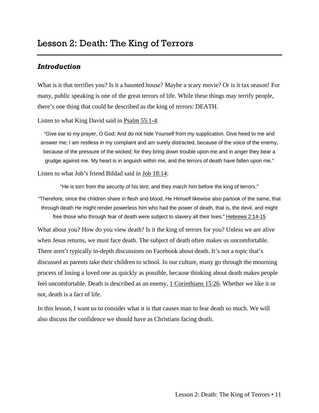<span id="page-12-0"></span>What is it that terrifies you? Is it a haunted house? Maybe a scary movie? Or is it tax season! For many, public speaking is one of the great terrors of life. While these things may terrify people, there's one thing that could be described as the king of terrors: DEATH.

Listen to what King David said in Psalm 55:1-4:

"Give ear to my prayer, O God; And do not hide Yourself from my supplication. Give heed to me and answer me; I am restless in my complaint and am surely distracted, because of the voice of the enemy, because of the pressure of the wicked; for they bring down trouble upon me and in anger they bear a grudge against me. My heart is in anguish within me, and the terrors of death have fallen upon me."

Listen to what Job's friend Bildad said in Job 18:14:

"He is torn from the security of his tent, and they march him before the king of terrors."

"Therefore, since the children share in flesh and blood, He Himself likewise also partook of the same, that through death He might render powerless him who had the power of death, that is, the devil, and might free those who through fear of death were subject to slavery all their lives." Hebrews 2:14-15

What about you? How do you view death? Is it the king of terrors for you? Unless we are alive when Jesus returns, we must face death. The subject of death often makes us uncomfortable. There aren't typically in-depth discussions on Facebook about death. It's not a topic that's discussed as parents take their children to school. In our culture, many go through the mourning process of losing a loved one as quickly as possible, because thinking about death makes people feel uncomfortable. Death is described as an enemy, 1 Corinthians 15:26. Whether we like it or not, death is a fact of life.

In this lesson, I want us to consider what it is that causes man to fear death so much. We will also discuss the confidence we should have as Christians facing death.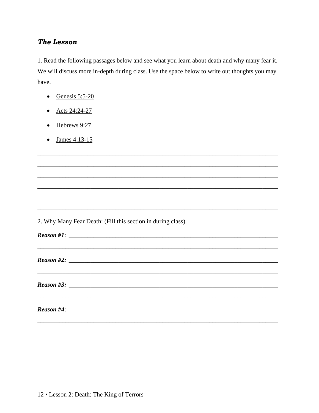#### **The Lesson**

1. Read the following passages below and see what you learn about death and why many fear it. We will discuss more in-depth during class. Use the space below to write out thoughts you may have.

- Genesis  $5:5-20$
- Acts 24:24-27
- $\bullet$  Hebrews 9:27
- $\bullet$  James 4:13-15

2. Why Many Fear Death: (Fill this section in during class).

 $Reason \#1$ :

 $Reason \#4$ :

 $Reason \#3$ :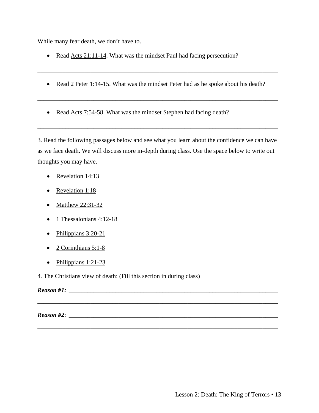While many fear death, we don't have to.

- Read Acts 21:11-14. What was the mindset Paul had facing persecution?
- Read 2 Peter 1:14-15. What was the mindset Peter had as he spoke about his death?

\_\_\_\_\_\_\_\_\_\_\_\_\_\_\_\_\_\_\_\_\_\_\_\_\_\_\_\_\_\_\_\_\_\_\_\_\_\_\_\_\_\_\_\_\_\_\_\_\_\_\_\_\_\_\_\_\_\_\_\_\_\_\_\_\_\_\_\_\_\_\_\_\_\_\_\_\_

\_\_\_\_\_\_\_\_\_\_\_\_\_\_\_\_\_\_\_\_\_\_\_\_\_\_\_\_\_\_\_\_\_\_\_\_\_\_\_\_\_\_\_\_\_\_\_\_\_\_\_\_\_\_\_\_\_\_\_\_\_\_\_\_\_\_\_\_\_\_\_\_\_\_\_\_\_

• Read Acts 7:54-58. What was the mindset Stephen had facing death?

3. Read the following passages below and see what you learn about the confidence we can have as we face death. We will discuss more in-depth during class. Use the space below to write out thoughts you may have.

\_\_\_\_\_\_\_\_\_\_\_\_\_\_\_\_\_\_\_\_\_\_\_\_\_\_\_\_\_\_\_\_\_\_\_\_\_\_\_\_\_\_\_\_\_\_\_\_\_\_\_\_\_\_\_\_\_\_\_\_\_\_\_\_\_\_\_\_\_\_\_\_\_\_\_\_\_

\_\_\_\_\_\_\_\_\_\_\_\_\_\_\_\_\_\_\_\_\_\_\_\_\_\_\_\_\_\_\_\_\_\_\_\_\_\_\_\_\_\_\_\_\_\_\_\_\_\_\_\_\_\_\_\_\_\_\_\_\_\_\_\_\_\_\_\_\_\_\_\_\_\_\_\_\_

\_\_\_\_\_\_\_\_\_\_\_\_\_\_\_\_\_\_\_\_\_\_\_\_\_\_\_\_\_\_\_\_\_\_\_\_\_\_\_\_\_\_\_\_\_\_\_\_\_\_\_\_\_\_\_\_\_\_\_\_\_\_\_\_\_\_\_\_\_\_\_\_\_\_\_\_\_

- Revelation 14:13
- Revelation 1:18
- Matthew 22:31-32
- 1 Thessalonians 4:12-18
- Philippians 3:20-21
- 2 Corinthians 5:1-8
- $\bullet$  Philippians 1:21-23

4. The Christians view of death: (Fill this section in during class)

## *Reason #1:*

*Reason #2:*  $\overline{a}$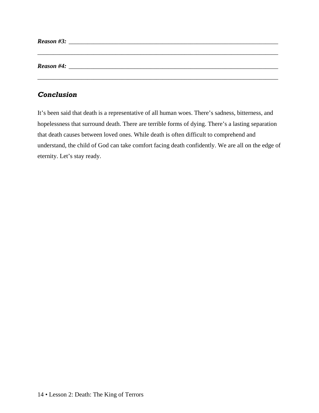| Reason #3: |  |  |  |  |
|------------|--|--|--|--|
|            |  |  |  |  |
|            |  |  |  |  |
| Reason #4: |  |  |  |  |
|            |  |  |  |  |
|            |  |  |  |  |

## *Conclusion*

It's been said that death is a representative of all human woes. There's sadness, bitterness, and hopelessness that surround death. There are terrible forms of dying. There's a lasting separation that death causes between loved ones. While death is often difficult to comprehend and understand, the child of God can take comfort facing death confidently. We are all on the edge of eternity. Let's stay ready.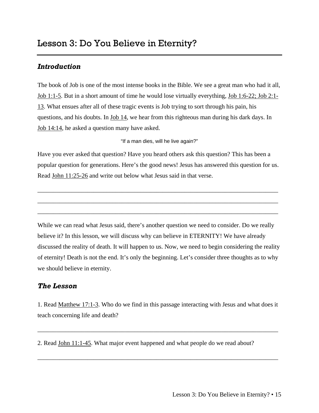<span id="page-16-0"></span>The book of Job is one of the most intense books in the Bible. We see a great man who had it all, Job 1:1-5. But in a short amount of time he would lose virtually everything, Job 1:6-22; Job 2:1- 13. What ensues after all of these tragic events is Job trying to sort through his pain, his questions, and his doubts. In Job 14, we hear from this righteous man during his dark days. In Job 14:14, he asked a question many have asked.

"If a man dies, will he live again?"

Have you ever asked that question? Have you heard others ask this question? This has been a popular question for generations. Here's the good news! Jesus has answered this question for us. Read John 11:25-26 and write out below what Jesus said in that verse.

\_\_\_\_\_\_\_\_\_\_\_\_\_\_\_\_\_\_\_\_\_\_\_\_\_\_\_\_\_\_\_\_\_\_\_\_\_\_\_\_\_\_\_\_\_\_\_\_\_\_\_\_\_\_\_\_\_\_\_\_\_\_\_\_\_\_\_\_\_\_\_\_\_\_\_\_\_

\_\_\_\_\_\_\_\_\_\_\_\_\_\_\_\_\_\_\_\_\_\_\_\_\_\_\_\_\_\_\_\_\_\_\_\_\_\_\_\_\_\_\_\_\_\_\_\_\_\_\_\_\_\_\_\_\_\_\_\_\_\_\_\_\_\_\_\_\_\_\_\_\_\_\_\_\_

\_\_\_\_\_\_\_\_\_\_\_\_\_\_\_\_\_\_\_\_\_\_\_\_\_\_\_\_\_\_\_\_\_\_\_\_\_\_\_\_\_\_\_\_\_\_\_\_\_\_\_\_\_\_\_\_\_\_\_\_\_\_\_\_\_\_\_\_\_\_\_\_\_\_\_\_\_

While we can read what Jesus said, there's another question we need to consider. Do we really believe it? In this lesson, we will discuss why can believe in ETERNITY! We have already discussed the reality of death. It will happen to us. Now, we need to begin considering the reality of eternity! Death is not the end. It's only the beginning. Let's consider three thoughts as to why we should believe in eternity.

## *The Lesson*

1. Read Matthew 17:1-3. Who do we find in this passage interacting with Jesus and what does it teach concerning life and death?

\_\_\_\_\_\_\_\_\_\_\_\_\_\_\_\_\_\_\_\_\_\_\_\_\_\_\_\_\_\_\_\_\_\_\_\_\_\_\_\_\_\_\_\_\_\_\_\_\_\_\_\_\_\_\_\_\_\_\_\_\_\_\_\_\_\_\_\_\_\_\_\_\_\_\_\_\_

\_\_\_\_\_\_\_\_\_\_\_\_\_\_\_\_\_\_\_\_\_\_\_\_\_\_\_\_\_\_\_\_\_\_\_\_\_\_\_\_\_\_\_\_\_\_\_\_\_\_\_\_\_\_\_\_\_\_\_\_\_\_\_\_\_\_\_\_\_\_\_\_\_\_\_\_\_

2. Read John 11:1-45. What major event happened and what people do we read about?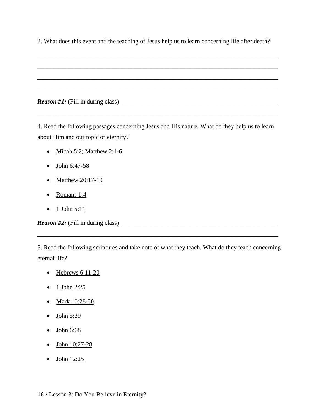3. What does this event and the teaching of Jesus help us to learn concerning life after death?

4. Read the following passages concerning Jesus and His nature. What do they help us to learn about Him and our topic of eternity?

\_\_\_\_\_\_\_\_\_\_\_\_\_\_\_\_\_\_\_\_\_\_\_\_\_\_\_\_\_\_\_\_\_\_\_\_\_\_\_\_\_\_\_\_\_\_\_\_\_\_\_\_\_\_\_\_\_\_\_\_\_\_\_\_\_\_\_\_\_\_\_\_\_\_\_\_\_

- Micah 5:2; Matthew  $2:1-6$
- John 6:47-58
- Matthew 20:17-19
- Romans 1:4
- $\bullet$  1 John 5:11

*Reason #2:* (Fill in during class) \_\_\_\_\_\_\_\_\_\_\_\_\_\_\_\_\_\_\_\_\_\_\_\_\_\_\_\_\_\_\_\_\_\_\_\_\_\_\_\_\_\_\_\_\_\_\_\_\_\_

5. Read the following scriptures and take note of what they teach. What do they teach concerning eternal life?

\_\_\_\_\_\_\_\_\_\_\_\_\_\_\_\_\_\_\_\_\_\_\_\_\_\_\_\_\_\_\_\_\_\_\_\_\_\_\_\_\_\_\_\_\_\_\_\_\_\_\_\_\_\_\_\_\_\_\_\_\_\_\_\_\_\_\_\_\_\_\_\_\_\_\_\_\_

- $\bullet$  Hebrews 6:11-20
- 1 John 2:25
- Mark 10:28-30
- $\bullet$  John 5:39
- John 6:68
- John 10:27-28
- $\bullet$  John 12:25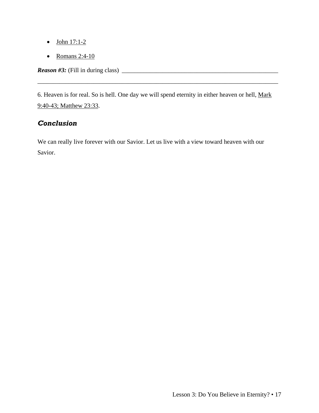- $\bullet$  John 17:1-2
- Romans 2:4-10

*Reason #3:* (Fill in during class) \_\_\_\_\_\_\_\_\_\_\_\_\_\_\_\_\_\_\_\_\_\_\_\_\_\_\_\_\_\_\_\_\_\_\_\_\_\_\_\_\_\_\_\_\_\_\_\_\_\_

6. Heaven is for real. So is hell. One day we will spend eternity in either heaven or hell, Mark 9:40-43; Matthew 23:33.

\_\_\_\_\_\_\_\_\_\_\_\_\_\_\_\_\_\_\_\_\_\_\_\_\_\_\_\_\_\_\_\_\_\_\_\_\_\_\_\_\_\_\_\_\_\_\_\_\_\_\_\_\_\_\_\_\_\_\_\_\_\_\_\_\_\_\_\_\_\_\_\_\_\_\_\_\_

## *Conclusion*

We can really live forever with our Savior. Let us live with a view toward heaven with our Savior.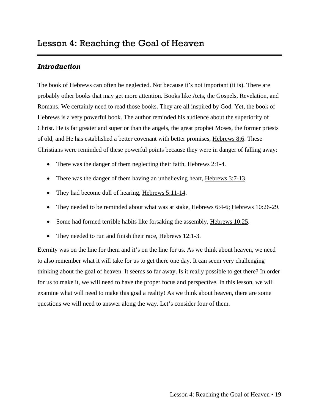<span id="page-20-0"></span>The book of Hebrews can often be neglected. Not because it's not important (it is). There are probably other books that may get more attention. Books like Acts, the Gospels, Revelation, and Romans. We certainly need to read those books. They are all inspired by God. Yet, the book of Hebrews is a very powerful book. The author reminded his audience about the superiority of Christ. He is far greater and superior than the angels, the great prophet Moses, the former priests of old, and He has established a better covenant with better promises, Hebrews 8:6. These Christians were reminded of these powerful points because they were in danger of falling away:

- There was the danger of them neglecting their faith, Hebrews 2:1-4.
- There was the danger of them having an unbelieving heart, Hebrews 3:7-13.
- They had become dull of hearing, Hebrews 5:11-14.
- They needed to be reminded about what was at stake, Hebrews 6:4-6; Hebrews 10:26-29.
- Some had formed terrible habits like forsaking the assembly, Hebrews 10:25.
- They needed to run and finish their race, Hebrews 12:1-3.

Eternity was on the line for them and it's on the line for us. As we think about heaven, we need to also remember what it will take for us to get there one day. It can seem very challenging thinking about the goal of heaven. It seems so far away. Is it really possible to get there? In order for us to make it, we will need to have the proper focus and perspective. In this lesson, we will examine what will need to make this goal a reality! As we think about heaven, there are some questions we will need to answer along the way. Let's consider four of them.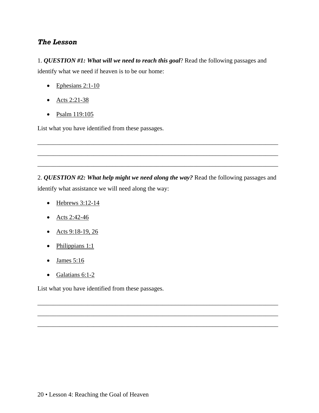#### *The Lesson*

1. *QUESTION #1: What will we need to reach this goal*? Read the following passages and identify what we need if heaven is to be our home:

- $\bullet$  Ephesians 2:1-10
- Acts 2:21-38
- Psalm 119:105

List what you have identified from these passages.

2. *QUESTION #2: What help might we need along the way?* Read the following passages and identify what assistance we will need along the way:

\_\_\_\_\_\_\_\_\_\_\_\_\_\_\_\_\_\_\_\_\_\_\_\_\_\_\_\_\_\_\_\_\_\_\_\_\_\_\_\_\_\_\_\_\_\_\_\_\_\_\_\_\_\_\_\_\_\_\_\_\_\_\_\_\_\_\_\_\_\_\_\_\_\_\_\_\_

\_\_\_\_\_\_\_\_\_\_\_\_\_\_\_\_\_\_\_\_\_\_\_\_\_\_\_\_\_\_\_\_\_\_\_\_\_\_\_\_\_\_\_\_\_\_\_\_\_\_\_\_\_\_\_\_\_\_\_\_\_\_\_\_\_\_\_\_\_\_\_\_\_\_\_\_\_

\_\_\_\_\_\_\_\_\_\_\_\_\_\_\_\_\_\_\_\_\_\_\_\_\_\_\_\_\_\_\_\_\_\_\_\_\_\_\_\_\_\_\_\_\_\_\_\_\_\_\_\_\_\_\_\_\_\_\_\_\_\_\_\_\_\_\_\_\_\_\_\_\_\_\_\_\_

\_\_\_\_\_\_\_\_\_\_\_\_\_\_\_\_\_\_\_\_\_\_\_\_\_\_\_\_\_\_\_\_\_\_\_\_\_\_\_\_\_\_\_\_\_\_\_\_\_\_\_\_\_\_\_\_\_\_\_\_\_\_\_\_\_\_\_\_\_\_\_\_\_\_\_\_\_

\_\_\_\_\_\_\_\_\_\_\_\_\_\_\_\_\_\_\_\_\_\_\_\_\_\_\_\_\_\_\_\_\_\_\_\_\_\_\_\_\_\_\_\_\_\_\_\_\_\_\_\_\_\_\_\_\_\_\_\_\_\_\_\_\_\_\_\_\_\_\_\_\_\_\_\_\_

\_\_\_\_\_\_\_\_\_\_\_\_\_\_\_\_\_\_\_\_\_\_\_\_\_\_\_\_\_\_\_\_\_\_\_\_\_\_\_\_\_\_\_\_\_\_\_\_\_\_\_\_\_\_\_\_\_\_\_\_\_\_\_\_\_\_\_\_\_\_\_\_\_\_\_\_\_

- $\bullet$  Hebrews 3:12-14
- Acts 2:42-46
- Acts  $9:18-19, 26$
- Philippians  $1:1$
- James  $5:16$
- Galatians 6:1-2

List what you have identified from these passages.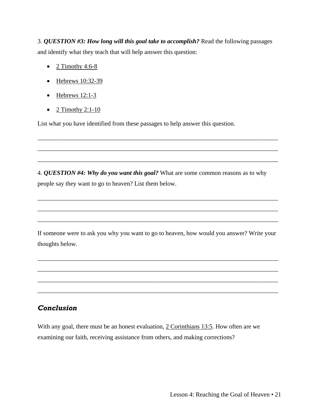3. *QUESTION #3: How long will this goal take to accomplish?* Read the following passages and identify what they teach that will help answer this question:

- 2 Timothy 4:6-8
- Hebrews 10:32-39
- $\bullet$  Hebrews 12:1-3
- $\bullet$  2 Timothy 2:1-10

List what you have identified from these passages to help answer this question.

4. *QUESTION #4: Why do you want this goal?* What are some common reasons as to why people say they want to go to heaven? List them below.

\_\_\_\_\_\_\_\_\_\_\_\_\_\_\_\_\_\_\_\_\_\_\_\_\_\_\_\_\_\_\_\_\_\_\_\_\_\_\_\_\_\_\_\_\_\_\_\_\_\_\_\_\_\_\_\_\_\_\_\_\_\_\_\_\_\_\_\_\_\_\_\_\_\_\_\_\_

\_\_\_\_\_\_\_\_\_\_\_\_\_\_\_\_\_\_\_\_\_\_\_\_\_\_\_\_\_\_\_\_\_\_\_\_\_\_\_\_\_\_\_\_\_\_\_\_\_\_\_\_\_\_\_\_\_\_\_\_\_\_\_\_\_\_\_\_\_\_\_\_\_\_\_\_\_

\_\_\_\_\_\_\_\_\_\_\_\_\_\_\_\_\_\_\_\_\_\_\_\_\_\_\_\_\_\_\_\_\_\_\_\_\_\_\_\_\_\_\_\_\_\_\_\_\_\_\_\_\_\_\_\_\_\_\_\_\_\_\_\_\_\_\_\_\_\_\_\_\_\_\_\_\_

\_\_\_\_\_\_\_\_\_\_\_\_\_\_\_\_\_\_\_\_\_\_\_\_\_\_\_\_\_\_\_\_\_\_\_\_\_\_\_\_\_\_\_\_\_\_\_\_\_\_\_\_\_\_\_\_\_\_\_\_\_\_\_\_\_\_\_\_\_\_\_\_\_\_\_\_\_

\_\_\_\_\_\_\_\_\_\_\_\_\_\_\_\_\_\_\_\_\_\_\_\_\_\_\_\_\_\_\_\_\_\_\_\_\_\_\_\_\_\_\_\_\_\_\_\_\_\_\_\_\_\_\_\_\_\_\_\_\_\_\_\_\_\_\_\_\_\_\_\_\_\_\_\_\_

\_\_\_\_\_\_\_\_\_\_\_\_\_\_\_\_\_\_\_\_\_\_\_\_\_\_\_\_\_\_\_\_\_\_\_\_\_\_\_\_\_\_\_\_\_\_\_\_\_\_\_\_\_\_\_\_\_\_\_\_\_\_\_\_\_\_\_\_\_\_\_\_\_\_\_\_\_

If someone were to ask you why you want to go to heaven, how would you answer? Write your thoughts below.

\_\_\_\_\_\_\_\_\_\_\_\_\_\_\_\_\_\_\_\_\_\_\_\_\_\_\_\_\_\_\_\_\_\_\_\_\_\_\_\_\_\_\_\_\_\_\_\_\_\_\_\_\_\_\_\_\_\_\_\_\_\_\_\_\_\_\_\_\_\_\_\_\_\_\_\_\_

\_\_\_\_\_\_\_\_\_\_\_\_\_\_\_\_\_\_\_\_\_\_\_\_\_\_\_\_\_\_\_\_\_\_\_\_\_\_\_\_\_\_\_\_\_\_\_\_\_\_\_\_\_\_\_\_\_\_\_\_\_\_\_\_\_\_\_\_\_\_\_\_\_\_\_\_\_

\_\_\_\_\_\_\_\_\_\_\_\_\_\_\_\_\_\_\_\_\_\_\_\_\_\_\_\_\_\_\_\_\_\_\_\_\_\_\_\_\_\_\_\_\_\_\_\_\_\_\_\_\_\_\_\_\_\_\_\_\_\_\_\_\_\_\_\_\_\_\_\_\_\_\_\_\_

\_\_\_\_\_\_\_\_\_\_\_\_\_\_\_\_\_\_\_\_\_\_\_\_\_\_\_\_\_\_\_\_\_\_\_\_\_\_\_\_\_\_\_\_\_\_\_\_\_\_\_\_\_\_\_\_\_\_\_\_\_\_\_\_\_\_\_\_\_\_\_\_\_\_\_\_\_

## *Conclusion*

With any goal, there must be an honest evaluation, 2 Corinthians 13:5. How often are we examining our faith, receiving assistance from others, and making corrections?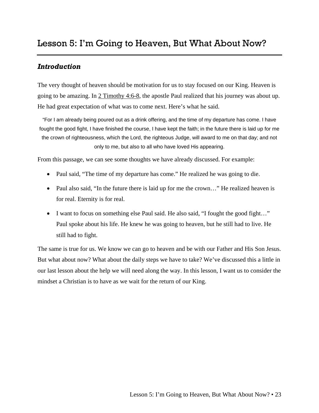<span id="page-24-0"></span>The very thought of heaven should be motivation for us to stay focused on our King. Heaven is going to be amazing. In 2 Timothy 4:6-8, the apostle Paul realized that his journey was about up. He had great expectation of what was to come next. Here's what he said.

"For I am already being poured out as a drink offering, and the time of my departure has come. I have fought the good fight, I have finished the course, I have kept the faith; in the future there is laid up for me the crown of righteousness, which the Lord, the righteous Judge, will award to me on that day; and not only to me, but also to all who have loved His appearing.

From this passage, we can see some thoughts we have already discussed. For example:

- Paul said, "The time of my departure has come." He realized he was going to die.
- Paul also said, "In the future there is laid up for me the crown..." He realized heaven is for real. Eternity is for real.
- I want to focus on something else Paul said. He also said, "I fought the good fight..." Paul spoke about his life. He knew he was going to heaven, but he still had to live. He still had to fight.

The same is true for us. We know we can go to heaven and be with our Father and His Son Jesus. But what about now? What about the daily steps we have to take? We've discussed this a little in our last lesson about the help we will need along the way. In this lesson, I want us to consider the mindset a Christian is to have as we wait for the return of our King.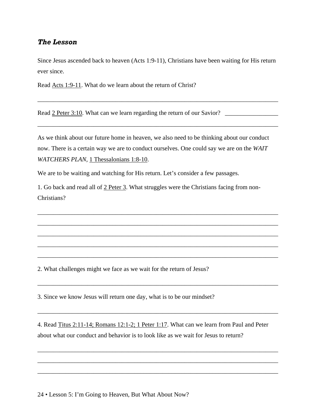#### *The Lesson*

Since Jesus ascended back to heaven (Acts 1:9-11), Christians have been waiting for His return ever since.

Read Acts 1:9-11. What do we learn about the return of Christ?

Read 2 Peter 3:10. What can we learn regarding the return of our Savior? \_\_\_\_\_\_\_\_\_\_\_\_\_\_

\_\_\_\_\_\_\_\_\_\_\_\_\_\_\_\_\_\_\_\_\_\_\_\_\_\_\_\_\_\_\_\_\_\_\_\_\_\_\_\_\_\_\_\_\_\_\_\_\_\_\_\_\_\_\_\_\_\_\_\_\_\_\_\_\_\_\_\_\_\_\_\_\_\_\_\_\_

\_\_\_\_\_\_\_\_\_\_\_\_\_\_\_\_\_\_\_\_\_\_\_\_\_\_\_\_\_\_\_\_\_\_\_\_\_\_\_\_\_\_\_\_\_\_\_\_\_\_\_\_\_\_\_\_\_\_\_\_\_\_\_\_\_\_\_\_\_\_\_\_\_\_\_\_\_

As we think about our future home in heaven, we also need to be thinking about our conduct now. There is a certain way we are to conduct ourselves. One could say we are on the *WAIT WATCHERS PLAN*, 1 Thessalonians 1:8-10.

We are to be waiting and watching for His return. Let's consider a few passages.

1. Go back and read all of 2 Peter 3. What struggles were the Christians facing from non-Christians?

\_\_\_\_\_\_\_\_\_\_\_\_\_\_\_\_\_\_\_\_\_\_\_\_\_\_\_\_\_\_\_\_\_\_\_\_\_\_\_\_\_\_\_\_\_\_\_\_\_\_\_\_\_\_\_\_\_\_\_\_\_\_\_\_\_\_\_\_\_\_\_\_\_\_\_\_\_

\_\_\_\_\_\_\_\_\_\_\_\_\_\_\_\_\_\_\_\_\_\_\_\_\_\_\_\_\_\_\_\_\_\_\_\_\_\_\_\_\_\_\_\_\_\_\_\_\_\_\_\_\_\_\_\_\_\_\_\_\_\_\_\_\_\_\_\_\_\_\_\_\_\_\_\_\_

\_\_\_\_\_\_\_\_\_\_\_\_\_\_\_\_\_\_\_\_\_\_\_\_\_\_\_\_\_\_\_\_\_\_\_\_\_\_\_\_\_\_\_\_\_\_\_\_\_\_\_\_\_\_\_\_\_\_\_\_\_\_\_\_\_\_\_\_\_\_\_\_\_\_\_\_\_

\_\_\_\_\_\_\_\_\_\_\_\_\_\_\_\_\_\_\_\_\_\_\_\_\_\_\_\_\_\_\_\_\_\_\_\_\_\_\_\_\_\_\_\_\_\_\_\_\_\_\_\_\_\_\_\_\_\_\_\_\_\_\_\_\_\_\_\_\_\_\_\_\_\_\_\_\_

\_\_\_\_\_\_\_\_\_\_\_\_\_\_\_\_\_\_\_\_\_\_\_\_\_\_\_\_\_\_\_\_\_\_\_\_\_\_\_\_\_\_\_\_\_\_\_\_\_\_\_\_\_\_\_\_\_\_\_\_\_\_\_\_\_\_\_\_\_\_\_\_\_\_\_\_\_

\_\_\_\_\_\_\_\_\_\_\_\_\_\_\_\_\_\_\_\_\_\_\_\_\_\_\_\_\_\_\_\_\_\_\_\_\_\_\_\_\_\_\_\_\_\_\_\_\_\_\_\_\_\_\_\_\_\_\_\_\_\_\_\_\_\_\_\_\_\_\_\_\_\_\_\_\_

\_\_\_\_\_\_\_\_\_\_\_\_\_\_\_\_\_\_\_\_\_\_\_\_\_\_\_\_\_\_\_\_\_\_\_\_\_\_\_\_\_\_\_\_\_\_\_\_\_\_\_\_\_\_\_\_\_\_\_\_\_\_\_\_\_\_\_\_\_\_\_\_\_\_\_\_\_

\_\_\_\_\_\_\_\_\_\_\_\_\_\_\_\_\_\_\_\_\_\_\_\_\_\_\_\_\_\_\_\_\_\_\_\_\_\_\_\_\_\_\_\_\_\_\_\_\_\_\_\_\_\_\_\_\_\_\_\_\_\_\_\_\_\_\_\_\_\_\_\_\_\_\_\_\_

\_\_\_\_\_\_\_\_\_\_\_\_\_\_\_\_\_\_\_\_\_\_\_\_\_\_\_\_\_\_\_\_\_\_\_\_\_\_\_\_\_\_\_\_\_\_\_\_\_\_\_\_\_\_\_\_\_\_\_\_\_\_\_\_\_\_\_\_\_\_\_\_\_\_\_\_\_

\_\_\_\_\_\_\_\_\_\_\_\_\_\_\_\_\_\_\_\_\_\_\_\_\_\_\_\_\_\_\_\_\_\_\_\_\_\_\_\_\_\_\_\_\_\_\_\_\_\_\_\_\_\_\_\_\_\_\_\_\_\_\_\_\_\_\_\_\_\_\_\_\_\_\_\_\_

2. What challenges might we face as we wait for the return of Jesus?

3. Since we know Jesus will return one day, what is to be our mindset?

4. Read Titus 2:11-14; Romans 12:1-2; 1 Peter 1:17. What can we learn from Paul and Peter about what our conduct and behavior is to look like as we wait for Jesus to return?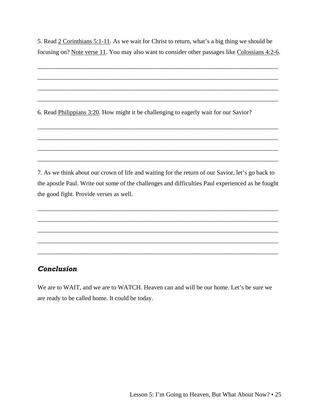5. Read 2 Corinthians 5:1-11. As we wait for Christ to return, what's a big thing we should be focusing on? Note verse 11. You may also want to consider other passages like Colossians 4:2-6.

\_\_\_\_\_\_\_\_\_\_\_\_\_\_\_\_\_\_\_\_\_\_\_\_\_\_\_\_\_\_\_\_\_\_\_\_\_\_\_\_\_\_\_\_\_\_\_\_\_\_\_\_\_\_\_\_\_\_\_\_\_\_\_\_\_\_\_\_\_\_\_\_\_\_\_\_\_

\_\_\_\_\_\_\_\_\_\_\_\_\_\_\_\_\_\_\_\_\_\_\_\_\_\_\_\_\_\_\_\_\_\_\_\_\_\_\_\_\_\_\_\_\_\_\_\_\_\_\_\_\_\_\_\_\_\_\_\_\_\_\_\_\_\_\_\_\_\_\_\_\_\_\_\_\_

\_\_\_\_\_\_\_\_\_\_\_\_\_\_\_\_\_\_\_\_\_\_\_\_\_\_\_\_\_\_\_\_\_\_\_\_\_\_\_\_\_\_\_\_\_\_\_\_\_\_\_\_\_\_\_\_\_\_\_\_\_\_\_\_\_\_\_\_\_\_\_\_\_\_\_\_\_

\_\_\_\_\_\_\_\_\_\_\_\_\_\_\_\_\_\_\_\_\_\_\_\_\_\_\_\_\_\_\_\_\_\_\_\_\_\_\_\_\_\_\_\_\_\_\_\_\_\_\_\_\_\_\_\_\_\_\_\_\_\_\_\_\_\_\_\_\_\_\_\_\_\_\_\_\_

\_\_\_\_\_\_\_\_\_\_\_\_\_\_\_\_\_\_\_\_\_\_\_\_\_\_\_\_\_\_\_\_\_\_\_\_\_\_\_\_\_\_\_\_\_\_\_\_\_\_\_\_\_\_\_\_\_\_\_\_\_\_\_\_\_\_\_\_\_\_\_\_\_\_\_\_\_

\_\_\_\_\_\_\_\_\_\_\_\_\_\_\_\_\_\_\_\_\_\_\_\_\_\_\_\_\_\_\_\_\_\_\_\_\_\_\_\_\_\_\_\_\_\_\_\_\_\_\_\_\_\_\_\_\_\_\_\_\_\_\_\_\_\_\_\_\_\_\_\_\_\_\_\_\_

\_\_\_\_\_\_\_\_\_\_\_\_\_\_\_\_\_\_\_\_\_\_\_\_\_\_\_\_\_\_\_\_\_\_\_\_\_\_\_\_\_\_\_\_\_\_\_\_\_\_\_\_\_\_\_\_\_\_\_\_\_\_\_\_\_\_\_\_\_\_\_\_\_\_\_\_\_

\_\_\_\_\_\_\_\_\_\_\_\_\_\_\_\_\_\_\_\_\_\_\_\_\_\_\_\_\_\_\_\_\_\_\_\_\_\_\_\_\_\_\_\_\_\_\_\_\_\_\_\_\_\_\_\_\_\_\_\_\_\_\_\_\_\_\_\_\_\_\_\_\_\_\_\_\_

6. Read Philippians 3:20. How might it be challenging to eagerly wait for our Savior?

7. As we think about our crown of life and waiting for the return of our Savior, let's go back to the apostle Paul. Write out some of the challenges and difficulties Paul experienced as he fought the good fight. Provide verses as well.

\_\_\_\_\_\_\_\_\_\_\_\_\_\_\_\_\_\_\_\_\_\_\_\_\_\_\_\_\_\_\_\_\_\_\_\_\_\_\_\_\_\_\_\_\_\_\_\_\_\_\_\_\_\_\_\_\_\_\_\_\_\_\_\_\_\_\_\_\_\_\_\_\_\_\_\_\_

\_\_\_\_\_\_\_\_\_\_\_\_\_\_\_\_\_\_\_\_\_\_\_\_\_\_\_\_\_\_\_\_\_\_\_\_\_\_\_\_\_\_\_\_\_\_\_\_\_\_\_\_\_\_\_\_\_\_\_\_\_\_\_\_\_\_\_\_\_\_\_\_\_\_\_\_\_

\_\_\_\_\_\_\_\_\_\_\_\_\_\_\_\_\_\_\_\_\_\_\_\_\_\_\_\_\_\_\_\_\_\_\_\_\_\_\_\_\_\_\_\_\_\_\_\_\_\_\_\_\_\_\_\_\_\_\_\_\_\_\_\_\_\_\_\_\_\_\_\_\_\_\_\_\_

\_\_\_\_\_\_\_\_\_\_\_\_\_\_\_\_\_\_\_\_\_\_\_\_\_\_\_\_\_\_\_\_\_\_\_\_\_\_\_\_\_\_\_\_\_\_\_\_\_\_\_\_\_\_\_\_\_\_\_\_\_\_\_\_\_\_\_\_\_\_\_\_\_\_\_\_\_

\_\_\_\_\_\_\_\_\_\_\_\_\_\_\_\_\_\_\_\_\_\_\_\_\_\_\_\_\_\_\_\_\_\_\_\_\_\_\_\_\_\_\_\_\_\_\_\_\_\_\_\_\_\_\_\_\_\_\_\_\_\_\_\_\_\_\_\_\_\_\_\_\_\_\_\_\_

## *Conclusion*

We are to WAIT, and we are to WATCH. Heaven can and will be our home. Let's be sure we are ready to be called home. It could be today.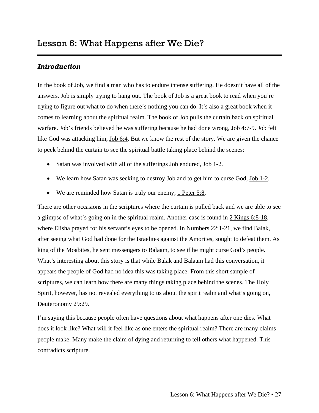<span id="page-28-0"></span>In the book of Job, we find a man who has to endure intense suffering. He doesn't have all of the answers. Job is simply trying to hang out. The book of Job is a great book to read when you're trying to figure out what to do when there's nothing you can do. It's also a great book when it comes to learning about the spiritual realm. The book of Job pulls the curtain back on spiritual warfare. Job's friends believed he was suffering because he had done wrong, Job 4:7-9. Job felt like God was attacking him, Job 6:4. But we know the rest of the story. We are given the chance to peek behind the curtain to see the spiritual battle taking place behind the scenes:

- Satan was involved with all of the sufferings Job endured, Job 1-2.
- We learn how Satan was seeking to destroy Job and to get him to curse God, Job 1-2.
- We are reminded how Satan is truly our enemy, 1 Peter 5:8.

There are other occasions in the scriptures where the curtain is pulled back and we are able to see a glimpse of what's going on in the spiritual realm. Another case is found in 2 Kings 6:8-18, where Elisha prayed for his servant's eyes to be opened. In <u>Numbers 22:1-21</u>, we find Balak, after seeing what God had done for the Israelites against the Amorites, sought to defeat them. As king of the Moabites, he sent messengers to Balaam, to see if he might curse God's people. What's interesting about this story is that while Balak and Balaam had this conversation, it appears the people of God had no idea this was taking place. From this short sample of scriptures, we can learn how there are many things taking place behind the scenes. The Holy Spirit, however, has not revealed everything to us about the spirit realm and what's going on, Deuteronomy 29:29.

I'm saying this because people often have questions about what happens after one dies. What does it look like? What will it feel like as one enters the spiritual realm? There are many claims people make. Many make the claim of dying and returning to tell others what happened. This contradicts scripture.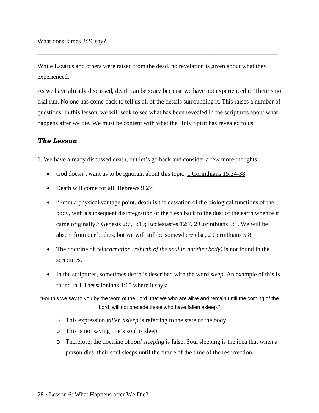What does James  $2:26$  say?

While Lazarus and others were raised from the dead, no revelation is given about what they experienced.

\_\_\_\_\_\_\_\_\_\_\_\_\_\_\_\_\_\_\_\_\_\_\_\_\_\_\_\_\_\_\_\_\_\_\_\_\_\_\_\_\_\_\_\_\_\_\_\_\_\_\_\_\_\_\_\_\_\_\_\_\_\_\_\_\_\_\_\_\_\_\_\_\_\_\_\_\_

As we have already discussed, death can be scary because we have not experienced it. There's no trial run. No one has come back to tell us all of the details surrounding it. This raises a number of questions. In this lesson, we will seek to see what has been revealed in the scriptures about what happens after we die. We must be content with what the Holy Spirit has revealed to us.

#### *The Lesson*

1. We have already discussed death, but let's go back and consider a few more thoughts:

- God doesn't want us to be ignorant about this topic, 1 Corinthians 15:34-38.
- Death will come for all, Hebrews 9:27.
- "From a physical vantage point, death is the cessation of the biological functions of the body, with a subsequent disintegration of the flesh back to the dust of the earth whence it came originally." Genesis 2:7, 3:19; Ecclesiastes 12:7, 2 Corinthians 5:1. We will be absent from our bodies, but we will still be somewhere else, 2 Corinthians 5:8.
- The doctrine of *reincarnation (rebirth of the soul in another body)* is not found in the scriptures.
- In the scriptures, sometimes death is described with the word *sleep*. An example of this is found in 1 Thessalonians 4:15 where it says:

"For this we say to you by the word of the Lord, that we who are alive and remain until the coming of the Lord, will not precede those who have fallen asleep."

- o This expression *fallen asleep* is referring to the state of the body.
- o This is not saying one's soul is sleep.
- o Therefore, the doctrine of *soul sleeping* is false. Soul sleeping is the idea that when a person dies, their soul sleeps until the future of the time of the resurrection.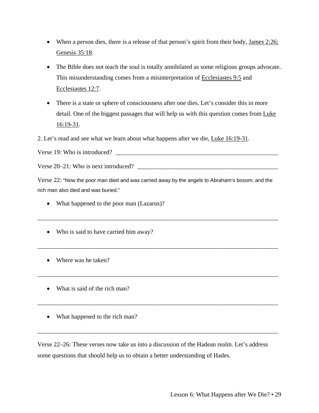- When a person dies, there is a release of that person's spirit from their body, James  $2:26$ ; Genesis 35:18.
- The Bible does not teach the soul is totally annihilated as some religious groups advocate. This misunderstanding comes from a misinterpretation of Ecclesiastes 9:5 and Ecclesiastes 12:7.
- There is a state or sphere of consciousness after one dies. Let's consider this in more detail. One of the biggest passages that will help us with this question comes from Luke 16:19-31.

2. Let's read and see what we learn about what happens after we die, Luke 16:19-31.

Verse 19: Who is introduced?  $\Box$ 

Verse  $20-21$ : Who is next introduced?

Verse 22: "Now the poor man died and was carried away by the angels to Abraham's bosom; and the rich man also died and was buried."

\_\_\_\_\_\_\_\_\_\_\_\_\_\_\_\_\_\_\_\_\_\_\_\_\_\_\_\_\_\_\_\_\_\_\_\_\_\_\_\_\_\_\_\_\_\_\_\_\_\_\_\_\_\_\_\_\_\_\_\_\_\_\_\_\_\_\_\_\_\_\_\_\_\_\_\_\_

\_\_\_\_\_\_\_\_\_\_\_\_\_\_\_\_\_\_\_\_\_\_\_\_\_\_\_\_\_\_\_\_\_\_\_\_\_\_\_\_\_\_\_\_\_\_\_\_\_\_\_\_\_\_\_\_\_\_\_\_\_\_\_\_\_\_\_\_\_\_\_\_\_\_\_\_\_

\_\_\_\_\_\_\_\_\_\_\_\_\_\_\_\_\_\_\_\_\_\_\_\_\_\_\_\_\_\_\_\_\_\_\_\_\_\_\_\_\_\_\_\_\_\_\_\_\_\_\_\_\_\_\_\_\_\_\_\_\_\_\_\_\_\_\_\_\_\_\_\_\_\_\_\_\_

\_\_\_\_\_\_\_\_\_\_\_\_\_\_\_\_\_\_\_\_\_\_\_\_\_\_\_\_\_\_\_\_\_\_\_\_\_\_\_\_\_\_\_\_\_\_\_\_\_\_\_\_\_\_\_\_\_\_\_\_\_\_\_\_\_\_\_\_\_\_\_\_\_\_\_\_\_

\_\_\_\_\_\_\_\_\_\_\_\_\_\_\_\_\_\_\_\_\_\_\_\_\_\_\_\_\_\_\_\_\_\_\_\_\_\_\_\_\_\_\_\_\_\_\_\_\_\_\_\_\_\_\_\_\_\_\_\_\_\_\_\_\_\_\_\_\_\_\_\_\_\_\_\_\_

- What happened to the poor man (Lazarus)?
- Who is said to have carried him away?
- Where was he taken?
- What is said of the rich man?
- What happened to the rich man?

Verse 22–26: These verses now take us into a discussion of the Hadean realm. Let's address some questions that should help us to obtain a better understanding of Hades.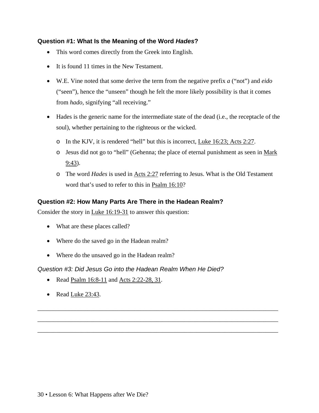#### **Question #1: What Is the Meaning of the Word** *Hades***?**

- This word comes directly from the Greek into English.
- It is found 11 times in the New Testament.
- W.E. Vine noted that some derive the term from the negative prefix *a* ("not") and *eido*  ("seen"), hence the "unseen" though he felt the more likely possibility is that it comes from *hado,* signifying "all receiving."
- Hades is the generic name for the intermediate state of the dead (i.e., the receptacle of the soul), whether pertaining to the righteous or the wicked.
	- o In the KJV, it is rendered "hell" but this is incorrect, Luke 16:23; Acts 2:27.
	- o Jesus did not go to "hell" (Gehenna; the place of eternal punishment as seen in Mark 9:43).
	- o The word *Hades* is used in Acts 2:27 referring to Jesus. What is the Old Testament word that's used to refer to this in Psalm 16:10?

\_\_\_\_\_\_\_\_\_\_\_\_\_\_\_\_\_\_\_\_\_\_\_\_\_\_\_\_\_\_\_\_\_\_\_\_\_\_\_\_\_\_\_\_\_\_\_\_\_\_\_\_\_\_\_\_\_\_\_\_\_\_\_\_\_\_\_\_\_\_\_\_\_\_\_\_\_

\_\_\_\_\_\_\_\_\_\_\_\_\_\_\_\_\_\_\_\_\_\_\_\_\_\_\_\_\_\_\_\_\_\_\_\_\_\_\_\_\_\_\_\_\_\_\_\_\_\_\_\_\_\_\_\_\_\_\_\_\_\_\_\_\_\_\_\_\_\_\_\_\_\_\_\_\_

\_\_\_\_\_\_\_\_\_\_\_\_\_\_\_\_\_\_\_\_\_\_\_\_\_\_\_\_\_\_\_\_\_\_\_\_\_\_\_\_\_\_\_\_\_\_\_\_\_\_\_\_\_\_\_\_\_\_\_\_\_\_\_\_\_\_\_\_\_\_\_\_\_\_\_\_\_

#### **Question #2: How Many Parts Are There in the Hadean Realm?**

Consider the story in <u>Luke 16:19-31</u> to answer this question:

- What are these places called?
- Where do the saved go in the Hadean realm?
- Where do the unsaved go in the Hadean realm?

#### *Question #3: Did Jesus Go into the Hadean Realm When He Died?*

- Read Psalm  $16:8-11$  and Acts 2:22-28, 31.
- Read Luke 23:43.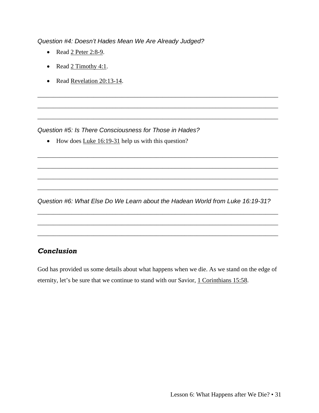*Question #4: Doesn't Hades Mean We Are Already Judged?* 

- Read 2 Peter 2:8-9.
- Read 2 Timothy 4:1.
- Read <u>Revelation 20:13-14</u>.

*Question #5: Is There Consciousness for Those in Hades?* 

• How does Luke 16:19-31 help us with this question?

*Question #6: What Else Do We Learn about the Hadean World from Luke 16:19-31?*

\_\_\_\_\_\_\_\_\_\_\_\_\_\_\_\_\_\_\_\_\_\_\_\_\_\_\_\_\_\_\_\_\_\_\_\_\_\_\_\_\_\_\_\_\_\_\_\_\_\_\_\_\_\_\_\_\_\_\_\_\_\_\_\_\_\_\_\_\_\_\_\_\_\_\_\_\_

\_\_\_\_\_\_\_\_\_\_\_\_\_\_\_\_\_\_\_\_\_\_\_\_\_\_\_\_\_\_\_\_\_\_\_\_\_\_\_\_\_\_\_\_\_\_\_\_\_\_\_\_\_\_\_\_\_\_\_\_\_\_\_\_\_\_\_\_\_\_\_\_\_\_\_\_\_

\_\_\_\_\_\_\_\_\_\_\_\_\_\_\_\_\_\_\_\_\_\_\_\_\_\_\_\_\_\_\_\_\_\_\_\_\_\_\_\_\_\_\_\_\_\_\_\_\_\_\_\_\_\_\_\_\_\_\_\_\_\_\_\_\_\_\_\_\_\_\_\_\_\_\_\_\_

\_\_\_\_\_\_\_\_\_\_\_\_\_\_\_\_\_\_\_\_\_\_\_\_\_\_\_\_\_\_\_\_\_\_\_\_\_\_\_\_\_\_\_\_\_\_\_\_\_\_\_\_\_\_\_\_\_\_\_\_\_\_\_\_\_\_\_\_\_\_\_\_\_\_\_\_\_

\_\_\_\_\_\_\_\_\_\_\_\_\_\_\_\_\_\_\_\_\_\_\_\_\_\_\_\_\_\_\_\_\_\_\_\_\_\_\_\_\_\_\_\_\_\_\_\_\_\_\_\_\_\_\_\_\_\_\_\_\_\_\_\_\_\_\_\_\_\_\_\_\_\_\_\_\_

\_\_\_\_\_\_\_\_\_\_\_\_\_\_\_\_\_\_\_\_\_\_\_\_\_\_\_\_\_\_\_\_\_\_\_\_\_\_\_\_\_\_\_\_\_\_\_\_\_\_\_\_\_\_\_\_\_\_\_\_\_\_\_\_\_\_\_\_\_\_\_\_\_\_\_\_\_

\_\_\_\_\_\_\_\_\_\_\_\_\_\_\_\_\_\_\_\_\_\_\_\_\_\_\_\_\_\_\_\_\_\_\_\_\_\_\_\_\_\_\_\_\_\_\_\_\_\_\_\_\_\_\_\_\_\_\_\_\_\_\_\_\_\_\_\_\_\_\_\_\_\_\_\_\_

\_\_\_\_\_\_\_\_\_\_\_\_\_\_\_\_\_\_\_\_\_\_\_\_\_\_\_\_\_\_\_\_\_\_\_\_\_\_\_\_\_\_\_\_\_\_\_\_\_\_\_\_\_\_\_\_\_\_\_\_\_\_\_\_\_\_\_\_\_\_\_\_\_\_\_\_\_

\_\_\_\_\_\_\_\_\_\_\_\_\_\_\_\_\_\_\_\_\_\_\_\_\_\_\_\_\_\_\_\_\_\_\_\_\_\_\_\_\_\_\_\_\_\_\_\_\_\_\_\_\_\_\_\_\_\_\_\_\_\_\_\_\_\_\_\_\_\_\_\_\_\_\_\_\_

\_\_\_\_\_\_\_\_\_\_\_\_\_\_\_\_\_\_\_\_\_\_\_\_\_\_\_\_\_\_\_\_\_\_\_\_\_\_\_\_\_\_\_\_\_\_\_\_\_\_\_\_\_\_\_\_\_\_\_\_\_\_\_\_\_\_\_\_\_\_\_\_\_\_\_\_\_

## *Conclusion*

God has provided us some details about what happens when we die. As we stand on the edge of eternity, let's be sure that we continue to stand with our Savior, 1 Corinthians 15:58.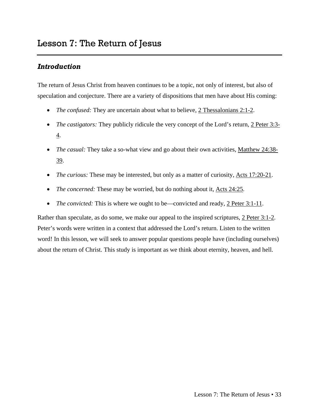<span id="page-34-0"></span>The return of Jesus Christ from heaven continues to be a topic, not only of interest, but also of speculation and conjecture. There are a variety of dispositions that men have about His coming:

- *The confused:* They are uncertain about what to believe, 2 Thessalonians 2:1-2.
- *The castigators:* They publicly ridicule the very concept of the Lord's return, 2 Peter 3:3-4.
- *The casual:* They take a so-what view and go about their own activities, Matthew 24:38- 39.
- *The curious:* These may be interested, but only as a matter of curiosity, Acts 17:20-21.
- *The concerned:* These may be worried, but do nothing about it, Acts 24:25.
- *The convicted:* This is where we ought to be—convicted and ready, 2 Peter 3:1-11.

Rather than speculate, as do some, we make our appeal to the inspired scriptures, 2 Peter 3:1-2. Peter's words were written in a context that addressed the Lord's return. Listen to the written word! In this lesson, we will seek to answer popular questions people have (including ourselves) about the return of Christ. This study is important as we think about eternity, heaven, and hell.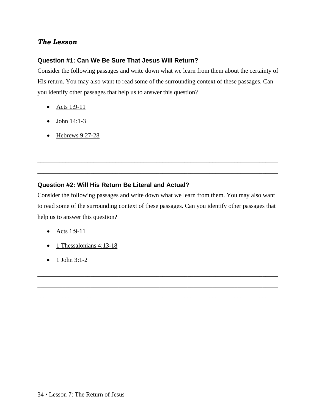## *The Lesson*

#### **Question #1: Can We Be Sure That Jesus Will Return?**

Consider the following passages and write down what we learn from them about the certainty of His return. You may also want to read some of the surrounding context of these passages. Can you identify other passages that help us to answer this question?

- Acts 1:9-11
- $\bullet$  John 14:1-3
- Hebrews 9:27-28

#### **Question #2: Will His Return Be Literal and Actual?**

Consider the following passages and write down what we learn from them. You may also want to read some of the surrounding context of these passages. Can you identify other passages that help us to answer this question?

\_\_\_\_\_\_\_\_\_\_\_\_\_\_\_\_\_\_\_\_\_\_\_\_\_\_\_\_\_\_\_\_\_\_\_\_\_\_\_\_\_\_\_\_\_\_\_\_\_\_\_\_\_\_\_\_\_\_\_\_\_\_\_\_\_\_\_\_\_\_\_\_\_\_\_\_\_

\_\_\_\_\_\_\_\_\_\_\_\_\_\_\_\_\_\_\_\_\_\_\_\_\_\_\_\_\_\_\_\_\_\_\_\_\_\_\_\_\_\_\_\_\_\_\_\_\_\_\_\_\_\_\_\_\_\_\_\_\_\_\_\_\_\_\_\_\_\_\_\_\_\_\_\_\_

\_\_\_\_\_\_\_\_\_\_\_\_\_\_\_\_\_\_\_\_\_\_\_\_\_\_\_\_\_\_\_\_\_\_\_\_\_\_\_\_\_\_\_\_\_\_\_\_\_\_\_\_\_\_\_\_\_\_\_\_\_\_\_\_\_\_\_\_\_\_\_\_\_\_\_\_\_

\_\_\_\_\_\_\_\_\_\_\_\_\_\_\_\_\_\_\_\_\_\_\_\_\_\_\_\_\_\_\_\_\_\_\_\_\_\_\_\_\_\_\_\_\_\_\_\_\_\_\_\_\_\_\_\_\_\_\_\_\_\_\_\_\_\_\_\_\_\_\_\_\_\_\_\_\_

\_\_\_\_\_\_\_\_\_\_\_\_\_\_\_\_\_\_\_\_\_\_\_\_\_\_\_\_\_\_\_\_\_\_\_\_\_\_\_\_\_\_\_\_\_\_\_\_\_\_\_\_\_\_\_\_\_\_\_\_\_\_\_\_\_\_\_\_\_\_\_\_\_\_\_\_\_

\_\_\_\_\_\_\_\_\_\_\_\_\_\_\_\_\_\_\_\_\_\_\_\_\_\_\_\_\_\_\_\_\_\_\_\_\_\_\_\_\_\_\_\_\_\_\_\_\_\_\_\_\_\_\_\_\_\_\_\_\_\_\_\_\_\_\_\_\_\_\_\_\_\_\_\_\_

- Acts 1:9-11
- 1 Thessalonians 4:13-18
- $1$  John 3:1-2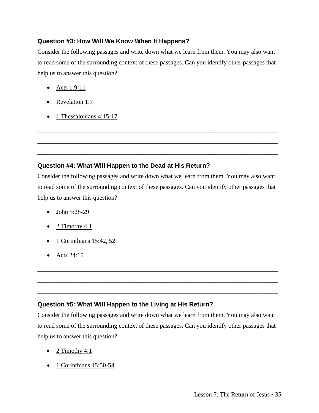#### **Question #3: How Will We Know When It Happens?**

Consider the following passages and write down what we learn from them. You may also want to read some of the surrounding context of these passages. Can you identify other passages that help us to answer this question?

- Acts 1:9-11
- Revelation 1:7
- 1 Thessalonians 4:15-17

#### **Question #4: What Will Happen to the Dead at His Return?**

Consider the following passages and write down what we learn from them. You may also want to read some of the surrounding context of these passages. Can you identify other passages that help us to answer this question?

\_\_\_\_\_\_\_\_\_\_\_\_\_\_\_\_\_\_\_\_\_\_\_\_\_\_\_\_\_\_\_\_\_\_\_\_\_\_\_\_\_\_\_\_\_\_\_\_\_\_\_\_\_\_\_\_\_\_\_\_\_\_\_\_\_\_\_\_\_\_\_\_\_\_\_\_\_

\_\_\_\_\_\_\_\_\_\_\_\_\_\_\_\_\_\_\_\_\_\_\_\_\_\_\_\_\_\_\_\_\_\_\_\_\_\_\_\_\_\_\_\_\_\_\_\_\_\_\_\_\_\_\_\_\_\_\_\_\_\_\_\_\_\_\_\_\_\_\_\_\_\_\_\_\_

\_\_\_\_\_\_\_\_\_\_\_\_\_\_\_\_\_\_\_\_\_\_\_\_\_\_\_\_\_\_\_\_\_\_\_\_\_\_\_\_\_\_\_\_\_\_\_\_\_\_\_\_\_\_\_\_\_\_\_\_\_\_\_\_\_\_\_\_\_\_\_\_\_\_\_\_\_

- John 5:28-29
- 2 Timothy 4:1
- $\bullet$  1 Corinthians 15:42, 52
- Acts 24:15

#### **Question #5: What Will Happen to the Living at His Return?**

Consider the following passages and write down what we learn from them. You may also want to read some of the surrounding context of these passages. Can you identify other passages that help us to answer this question?

\_\_\_\_\_\_\_\_\_\_\_\_\_\_\_\_\_\_\_\_\_\_\_\_\_\_\_\_\_\_\_\_\_\_\_\_\_\_\_\_\_\_\_\_\_\_\_\_\_\_\_\_\_\_\_\_\_\_\_\_\_\_\_\_\_\_\_\_\_\_\_\_\_\_\_\_\_

\_\_\_\_\_\_\_\_\_\_\_\_\_\_\_\_\_\_\_\_\_\_\_\_\_\_\_\_\_\_\_\_\_\_\_\_\_\_\_\_\_\_\_\_\_\_\_\_\_\_\_\_\_\_\_\_\_\_\_\_\_\_\_\_\_\_\_\_\_\_\_\_\_\_\_\_\_

\_\_\_\_\_\_\_\_\_\_\_\_\_\_\_\_\_\_\_\_\_\_\_\_\_\_\_\_\_\_\_\_\_\_\_\_\_\_\_\_\_\_\_\_\_\_\_\_\_\_\_\_\_\_\_\_\_\_\_\_\_\_\_\_\_\_\_\_\_\_\_\_\_\_\_\_\_

- 2 Timothy 4:1
- 1 Corinthians 15:50-54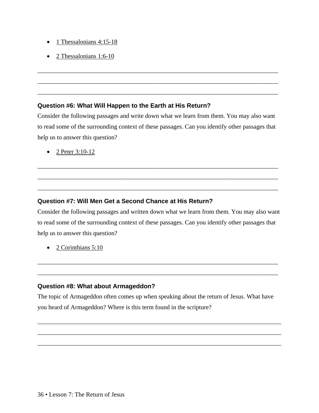- 1 Thessalonians  $4:15-18$
- 2 Thessalonians  $1:6-10$

#### **Question #6: What Will Happen to the Earth at His Return?**

Consider the following passages and write down what we learn from them. You may also want to read some of the surrounding context of these passages. Can you identify other passages that help us to answer this question?

\_\_\_\_\_\_\_\_\_\_\_\_\_\_\_\_\_\_\_\_\_\_\_\_\_\_\_\_\_\_\_\_\_\_\_\_\_\_\_\_\_\_\_\_\_\_\_\_\_\_\_\_\_\_\_\_\_\_\_\_\_\_\_\_\_\_\_\_\_\_\_\_\_\_\_\_\_

\_\_\_\_\_\_\_\_\_\_\_\_\_\_\_\_\_\_\_\_\_\_\_\_\_\_\_\_\_\_\_\_\_\_\_\_\_\_\_\_\_\_\_\_\_\_\_\_\_\_\_\_\_\_\_\_\_\_\_\_\_\_\_\_\_\_\_\_\_\_\_\_\_\_\_\_\_

\_\_\_\_\_\_\_\_\_\_\_\_\_\_\_\_\_\_\_\_\_\_\_\_\_\_\_\_\_\_\_\_\_\_\_\_\_\_\_\_\_\_\_\_\_\_\_\_\_\_\_\_\_\_\_\_\_\_\_\_\_\_\_\_\_\_\_\_\_\_\_\_\_\_\_\_\_

\_\_\_\_\_\_\_\_\_\_\_\_\_\_\_\_\_\_\_\_\_\_\_\_\_\_\_\_\_\_\_\_\_\_\_\_\_\_\_\_\_\_\_\_\_\_\_\_\_\_\_\_\_\_\_\_\_\_\_\_\_\_\_\_\_\_\_\_\_\_\_\_\_\_\_\_\_

\_\_\_\_\_\_\_\_\_\_\_\_\_\_\_\_\_\_\_\_\_\_\_\_\_\_\_\_\_\_\_\_\_\_\_\_\_\_\_\_\_\_\_\_\_\_\_\_\_\_\_\_\_\_\_\_\_\_\_\_\_\_\_\_\_\_\_\_\_\_\_\_\_\_\_\_\_

\_\_\_\_\_\_\_\_\_\_\_\_\_\_\_\_\_\_\_\_\_\_\_\_\_\_\_\_\_\_\_\_\_\_\_\_\_\_\_\_\_\_\_\_\_\_\_\_\_\_\_\_\_\_\_\_\_\_\_\_\_\_\_\_\_\_\_\_\_\_\_\_\_\_\_\_\_

• 2 Peter  $3:10-12$ 

#### **Question #7: Will Men Get a Second Chance at His Return?**

Consider the following passages and written down what we learn from them. You may also want to read some of the surrounding context of these passages. Can you identify other passages that help us to answer this question?

\_\_\_\_\_\_\_\_\_\_\_\_\_\_\_\_\_\_\_\_\_\_\_\_\_\_\_\_\_\_\_\_\_\_\_\_\_\_\_\_\_\_\_\_\_\_\_\_\_\_\_\_\_\_\_\_\_\_\_\_\_\_\_\_\_\_\_\_\_\_\_\_\_\_\_\_\_

\_\_\_\_\_\_\_\_\_\_\_\_\_\_\_\_\_\_\_\_\_\_\_\_\_\_\_\_\_\_\_\_\_\_\_\_\_\_\_\_\_\_\_\_\_\_\_\_\_\_\_\_\_\_\_\_\_\_\_\_\_\_\_\_\_\_\_\_\_\_\_\_\_\_\_\_\_

• 2 Corinthians 5:10

#### **Question #8: What about Armageddon?**

The topic of Armageddon often comes up when speaking about the return of Jesus. What have you heard of Armageddon? Where is this term found in the scripture?

\_\_\_\_\_\_\_\_\_\_\_\_\_\_\_\_\_\_\_\_\_\_\_\_\_\_\_\_\_\_\_\_\_\_\_\_\_\_\_\_\_\_\_\_\_\_\_\_\_\_\_\_\_\_\_\_\_\_\_\_\_\_\_\_\_\_\_\_\_\_\_\_\_\_\_\_\_\_

\_\_\_\_\_\_\_\_\_\_\_\_\_\_\_\_\_\_\_\_\_\_\_\_\_\_\_\_\_\_\_\_\_\_\_\_\_\_\_\_\_\_\_\_\_\_\_\_\_\_\_\_\_\_\_\_\_\_\_\_\_\_\_\_\_\_\_\_\_\_\_\_\_\_\_\_\_\_

\_\_\_\_\_\_\_\_\_\_\_\_\_\_\_\_\_\_\_\_\_\_\_\_\_\_\_\_\_\_\_\_\_\_\_\_\_\_\_\_\_\_\_\_\_\_\_\_\_\_\_\_\_\_\_\_\_\_\_\_\_\_\_\_\_\_\_\_\_\_\_\_\_\_\_\_\_\_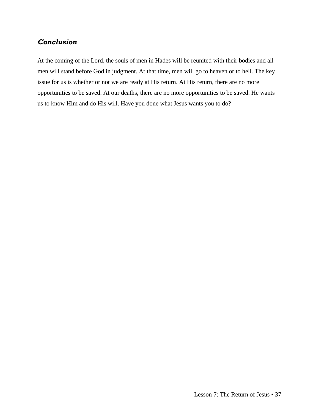## *Conclusion*

At the coming of the Lord, the souls of men in Hades will be reunited with their bodies and all men will stand before God in judgment. At that time, men will go to heaven or to hell. The key issue for us is whether or not we are ready at His return. At His return, there are no more opportunities to be saved. At our deaths, there are no more opportunities to be saved. He wants us to know Him and do His will. Have you done what Jesus wants you to do?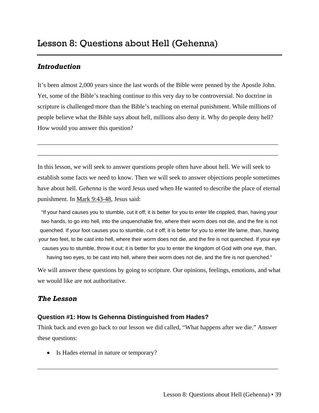<span id="page-40-0"></span>It's been almost 2,000 years since the last words of the Bible were penned by the Apostle John. Yet, some of the Bible's teaching continue to this very day to be controversial. No doctrine in scripture is challenged more than the Bible's teaching on eternal punishment. While millions of people believe what the Bible says about hell, millions also deny it. Why do people deny hell? How would you answer this question?

\_\_\_\_\_\_\_\_\_\_\_\_\_\_\_\_\_\_\_\_\_\_\_\_\_\_\_\_\_\_\_\_\_\_\_\_\_\_\_\_\_\_\_\_\_\_\_\_\_\_\_\_\_\_\_\_\_\_\_\_\_\_\_\_\_\_\_\_\_\_\_\_\_\_\_\_\_

\_\_\_\_\_\_\_\_\_\_\_\_\_\_\_\_\_\_\_\_\_\_\_\_\_\_\_\_\_\_\_\_\_\_\_\_\_\_\_\_\_\_\_\_\_\_\_\_\_\_\_\_\_\_\_\_\_\_\_\_\_\_\_\_\_\_\_\_\_\_\_\_\_\_\_\_\_

In this lesson, we will seek to answer questions people often have about hell. We will seek to establish some facts we need to know. Then we will seek to answer objections people sometimes have about hell. *Gehenna* is the word Jesus used when He wanted to describe the place of eternal punishment. In Mark 9:43-48, Jesus said:

"If your hand causes you to stumble, cut it off; it is better for you to enter life crippled, than, having your two hands, to go into hell, into the unquenchable fire, where their worm does not die, and the fire is not quenched. If your foot causes you to stumble, cut it off; it is better for you to enter life lame, than, having your two feet, to be cast into hell, where their worm does not die, and the fire is not quenched. If your eye causes you to stumble, throw it out; it is better for you to enter the kingdom of God with one eye, than, having two eyes, to be cast into hell, where their worm does not die, and the fire is not quenched."

We will answer these questions by going to scripture. Our opinions, feelings, emotions, and what we would like are not authoritative.

## *The Lesson*

#### **Question #1: How Is Gehenna Distinguished from Hades?**

Think back and even go back to our lesson we did called, "What happens after we die." Answer these questions:

\_\_\_\_\_\_\_\_\_\_\_\_\_\_\_\_\_\_\_\_\_\_\_\_\_\_\_\_\_\_\_\_\_\_\_\_\_\_\_\_\_\_\_\_\_\_\_\_\_\_\_\_\_\_\_\_\_\_\_\_\_\_\_\_\_\_\_\_\_\_\_\_\_\_\_\_\_

• Is Hades eternal in nature or temporary?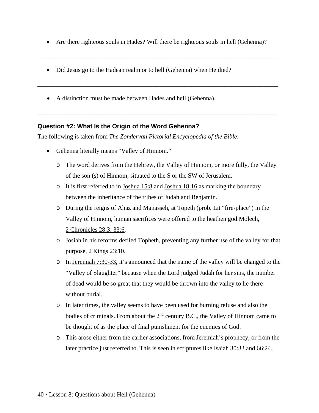• Are there righteous souls in Hades? Will there be righteous souls in hell (Gehenna)?

\_\_\_\_\_\_\_\_\_\_\_\_\_\_\_\_\_\_\_\_\_\_\_\_\_\_\_\_\_\_\_\_\_\_\_\_\_\_\_\_\_\_\_\_\_\_\_\_\_\_\_\_\_\_\_\_\_\_\_\_\_\_\_\_\_\_\_\_\_\_\_\_\_\_\_\_\_

\_\_\_\_\_\_\_\_\_\_\_\_\_\_\_\_\_\_\_\_\_\_\_\_\_\_\_\_\_\_\_\_\_\_\_\_\_\_\_\_\_\_\_\_\_\_\_\_\_\_\_\_\_\_\_\_\_\_\_\_\_\_\_\_\_\_\_\_\_\_\_\_\_\_\_\_\_

\_\_\_\_\_\_\_\_\_\_\_\_\_\_\_\_\_\_\_\_\_\_\_\_\_\_\_\_\_\_\_\_\_\_\_\_\_\_\_\_\_\_\_\_\_\_\_\_\_\_\_\_\_\_\_\_\_\_\_\_\_\_\_\_\_\_\_\_\_\_\_\_\_\_\_\_\_

- Did Jesus go to the Hadean realm or to hell (Gehenna) when He died?
- A distinction must be made between Hades and hell (Gehenna).

#### **Question #2: What Is the Origin of the Word Gehenna?**

The following is taken from *The Zondervan Pictorial Encyclopedia of the Bible*:

- Gehenna literally means "Valley of Hinnom."
	- o The word derives from the Hebrew, the Valley of Hinnom, or more fully, the Valley of the son (s) of Hinnom, situated to the S or the SW of Jerusalem.
	- $\circ$  It is first referred to in Joshua 15:8 and Joshua 18:16 as marking the boundary between the inheritance of the tribes of Judah and Benjamin.
	- o During the reigns of Ahaz and Manasseh, at Topeth (prob. Lit "fire-place") in the Valley of Hinnom, human sacrifices were offered to the heathen god Molech, 2 Chronicles 28:3; 33:6.
	- o Josiah in his reforms defiled Topheth, preventing any further use of the valley for that purpose, 2 Kings 23:10.
	- o In Jeremiah 7:30-33, it's announced that the name of the valley will be changed to the "Valley of Slaughter" because when the Lord judged Judah for her sins, the number of dead would be so great that they would be thrown into the valley to lie there without burial.
	- o In later times, the valley seems to have been used for burning refuse and also the bodies of criminals. From about the  $2<sup>nd</sup>$  century B.C., the Valley of Hinnom came to be thought of as the place of final punishment for the enemies of God.
	- o This arose either from the earlier associations, from Jeremiah's prophecy, or from the later practice just referred to. This is seen in scriptures like Isaiah 30:33 and 66:24.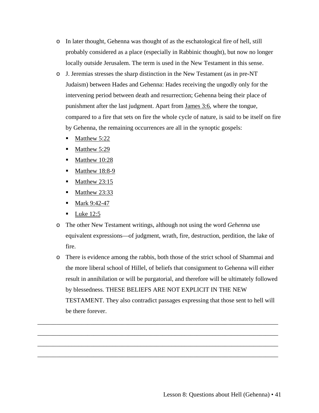- o In later thought, Gehenna was thought of as the eschatological fire of hell, still probably considered as a place (especially in Rabbinic thought), but now no longer locally outside Jerusalem. The term is used in the New Testament in this sense.
- o J. Jeremias stresses the sharp distinction in the New Testament (as in pre-NT Judaism) between Hades and Gehenna: Hades receiving the ungodly only for the intervening period between death and resurrection; Gehenna being their place of punishment after the last judgment. Apart from James 3:6, where the tongue, compared to a fire that sets on fire the whole cycle of nature, is said to be itself on fire by Gehenna, the remaining occurrences are all in the synoptic gospels:
	- $\blacksquare$  Matthew 5:22
	- Matthew 5:29
	- Matthew 10:28
	- $\blacksquare$  Matthew 18:8-9
	- $\blacksquare$  Matthew 23:15
	- $\blacksquare$  Matthew 23:33
	- Mark 9:42-47
	- $\blacksquare$  Luke 12:5
- o The other New Testament writings, although not using the word *Gehenna* use equivalent expressions—of judgment, wrath, fire, destruction, perdition, the lake of fire.
- o There is evidence among the rabbis, both those of the strict school of Shammai and the more liberal school of Hillel, of beliefs that consignment to Gehenna will either result in annihilation or will be purgatorial, and therefore will be ultimately followed by blessedness. THESE BELIEFS ARE NOT EXPLICIT IN THE NEW TESTAMENT. They also contradict passages expressing that those sent to hell will be there forever.

\_\_\_\_\_\_\_\_\_\_\_\_\_\_\_\_\_\_\_\_\_\_\_\_\_\_\_\_\_\_\_\_\_\_\_\_\_\_\_\_\_\_\_\_\_\_\_\_\_\_\_\_\_\_\_\_\_\_\_\_\_\_\_\_\_\_\_\_\_\_\_\_\_\_\_\_\_

\_\_\_\_\_\_\_\_\_\_\_\_\_\_\_\_\_\_\_\_\_\_\_\_\_\_\_\_\_\_\_\_\_\_\_\_\_\_\_\_\_\_\_\_\_\_\_\_\_\_\_\_\_\_\_\_\_\_\_\_\_\_\_\_\_\_\_\_\_\_\_\_\_\_\_\_\_

\_\_\_\_\_\_\_\_\_\_\_\_\_\_\_\_\_\_\_\_\_\_\_\_\_\_\_\_\_\_\_\_\_\_\_\_\_\_\_\_\_\_\_\_\_\_\_\_\_\_\_\_\_\_\_\_\_\_\_\_\_\_\_\_\_\_\_\_\_\_\_\_\_\_\_\_\_

\_\_\_\_\_\_\_\_\_\_\_\_\_\_\_\_\_\_\_\_\_\_\_\_\_\_\_\_\_\_\_\_\_\_\_\_\_\_\_\_\_\_\_\_\_\_\_\_\_\_\_\_\_\_\_\_\_\_\_\_\_\_\_\_\_\_\_\_\_\_\_\_\_\_\_\_\_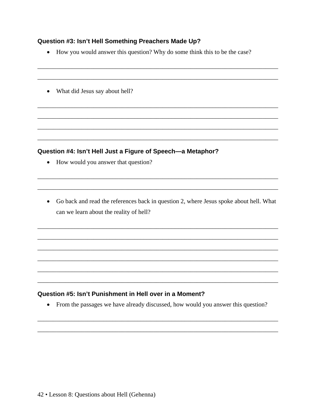#### Question #3: Isn't Hell Something Preachers Made Up?

- How you would answer this question? Why do some think this to be the case?
- What did Jesus say about hell?

#### Question #4: Isn't Hell Just a Figure of Speech-a Metaphor?

- How would you answer that question?
- Go back and read the references back in question 2, where Jesus spoke about hell. What can we learn about the reality of hell?

#### Question #5: Isn't Punishment in Hell over in a Moment?

• From the passages we have already discussed, how would you answer this question?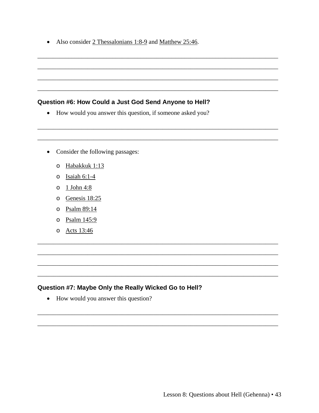• Also consider 2 Thessalonians 1:8-9 and Matthew 25:46.

#### Question #6: How Could a Just God Send Anyone to Hell?

- How would you answer this question, if someone asked you?
- Consider the following passages:
	- o Habakkuk 1:13
	- $\circ$  Isaiah 6:1-4
	- $\circ$  1 John 4:8
	- o Genesis 18:25
	- o Psalm 89:14
	- o Psalm 145:9
	- o Acts 13:46

#### Question #7: Maybe Only the Really Wicked Go to Hell?

• How would you answer this question?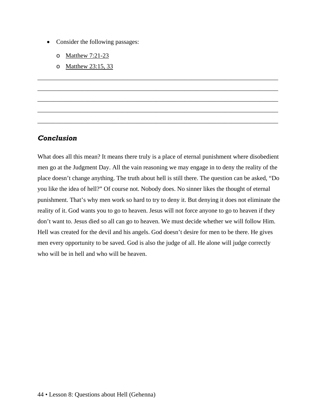- Consider the following passages:
	- o Matthew 7:21-23
	- o Matthew 23:15, 33

#### *Conclusion*

What does all this mean? It means there truly is a place of eternal punishment where disobedient men go at the Judgment Day. All the vain reasoning we may engage in to deny the reality of the place doesn't change anything. The truth about hell is still there. The question can be asked, "Do you like the idea of hell?" Of course not. Nobody does. No sinner likes the thought of eternal punishment. That's why men work so hard to try to deny it. But denying it does not eliminate the reality of it. God wants you to go to heaven. Jesus will not force anyone to go to heaven if they don't want to. Jesus died so all can go to heaven. We must decide whether we will follow Him. Hell was created for the devil and his angels. God doesn't desire for men to be there. He gives men every opportunity to be saved. God is also the judge of all. He alone will judge correctly who will be in hell and who will be heaven.

\_\_\_\_\_\_\_\_\_\_\_\_\_\_\_\_\_\_\_\_\_\_\_\_\_\_\_\_\_\_\_\_\_\_\_\_\_\_\_\_\_\_\_\_\_\_\_\_\_\_\_\_\_\_\_\_\_\_\_\_\_\_\_\_\_\_\_\_\_\_\_\_\_\_\_\_\_

\_\_\_\_\_\_\_\_\_\_\_\_\_\_\_\_\_\_\_\_\_\_\_\_\_\_\_\_\_\_\_\_\_\_\_\_\_\_\_\_\_\_\_\_\_\_\_\_\_\_\_\_\_\_\_\_\_\_\_\_\_\_\_\_\_\_\_\_\_\_\_\_\_\_\_\_\_

\_\_\_\_\_\_\_\_\_\_\_\_\_\_\_\_\_\_\_\_\_\_\_\_\_\_\_\_\_\_\_\_\_\_\_\_\_\_\_\_\_\_\_\_\_\_\_\_\_\_\_\_\_\_\_\_\_\_\_\_\_\_\_\_\_\_\_\_\_\_\_\_\_\_\_\_\_

\_\_\_\_\_\_\_\_\_\_\_\_\_\_\_\_\_\_\_\_\_\_\_\_\_\_\_\_\_\_\_\_\_\_\_\_\_\_\_\_\_\_\_\_\_\_\_\_\_\_\_\_\_\_\_\_\_\_\_\_\_\_\_\_\_\_\_\_\_\_\_\_\_\_\_\_\_

\_\_\_\_\_\_\_\_\_\_\_\_\_\_\_\_\_\_\_\_\_\_\_\_\_\_\_\_\_\_\_\_\_\_\_\_\_\_\_\_\_\_\_\_\_\_\_\_\_\_\_\_\_\_\_\_\_\_\_\_\_\_\_\_\_\_\_\_\_\_\_\_\_\_\_\_\_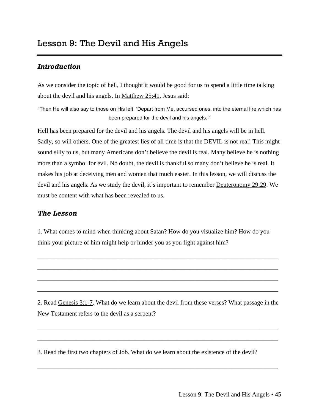<span id="page-46-0"></span>As we consider the topic of hell, I thought it would be good for us to spend a little time talking about the devil and his angels. In Matthew 25:41, Jesus said:

"Then He will also say to those on His left, 'Depart from Me, accursed ones, into the eternal fire which has been prepared for the devil and his angels.'"

Hell has been prepared for the devil and his angels. The devil and his angels will be in hell. Sadly, so will others. One of the greatest lies of all time is that the DEVIL is not real! This might sound silly to us, but many Americans don't believe the devil is real. Many believe he is nothing more than a symbol for evil. No doubt, the devil is thankful so many don't believe he is real. It makes his job at deceiving men and women that much easier. In this lesson, we will discuss the devil and his angels. As we study the devil, it's important to remember Deuteronomy 29:29. We must be content with what has been revealed to us.

## *The Lesson*

1. What comes to mind when thinking about Satan? How do you visualize him? How do you think your picture of him might help or hinder you as you fight against him?

\_\_\_\_\_\_\_\_\_\_\_\_\_\_\_\_\_\_\_\_\_\_\_\_\_\_\_\_\_\_\_\_\_\_\_\_\_\_\_\_\_\_\_\_\_\_\_\_\_\_\_\_\_\_\_\_\_\_\_\_\_\_\_\_\_\_\_\_\_\_\_\_\_\_\_\_\_

\_\_\_\_\_\_\_\_\_\_\_\_\_\_\_\_\_\_\_\_\_\_\_\_\_\_\_\_\_\_\_\_\_\_\_\_\_\_\_\_\_\_\_\_\_\_\_\_\_\_\_\_\_\_\_\_\_\_\_\_\_\_\_\_\_\_\_\_\_\_\_\_\_\_\_\_\_

\_\_\_\_\_\_\_\_\_\_\_\_\_\_\_\_\_\_\_\_\_\_\_\_\_\_\_\_\_\_\_\_\_\_\_\_\_\_\_\_\_\_\_\_\_\_\_\_\_\_\_\_\_\_\_\_\_\_\_\_\_\_\_\_\_\_\_\_\_\_\_\_\_\_\_\_\_

\_\_\_\_\_\_\_\_\_\_\_\_\_\_\_\_\_\_\_\_\_\_\_\_\_\_\_\_\_\_\_\_\_\_\_\_\_\_\_\_\_\_\_\_\_\_\_\_\_\_\_\_\_\_\_\_\_\_\_\_\_\_\_\_\_\_\_\_\_\_\_\_\_\_\_\_\_

2. Read Genesis 3:1-7. What do we learn about the devil from these verses? What passage in the New Testament refers to the devil as a serpent?

\_\_\_\_\_\_\_\_\_\_\_\_\_\_\_\_\_\_\_\_\_\_\_\_\_\_\_\_\_\_\_\_\_\_\_\_\_\_\_\_\_\_\_\_\_\_\_\_\_\_\_\_\_\_\_\_\_\_\_\_\_\_\_\_\_\_\_\_\_\_\_\_\_\_\_\_\_

\_\_\_\_\_\_\_\_\_\_\_\_\_\_\_\_\_\_\_\_\_\_\_\_\_\_\_\_\_\_\_\_\_\_\_\_\_\_\_\_\_\_\_\_\_\_\_\_\_\_\_\_\_\_\_\_\_\_\_\_\_\_\_\_\_\_\_\_\_\_\_\_\_\_\_\_\_

\_\_\_\_\_\_\_\_\_\_\_\_\_\_\_\_\_\_\_\_\_\_\_\_\_\_\_\_\_\_\_\_\_\_\_\_\_\_\_\_\_\_\_\_\_\_\_\_\_\_\_\_\_\_\_\_\_\_\_\_\_\_\_\_\_\_\_\_\_\_\_\_\_\_\_\_\_

3. Read the first two chapters of Job. What do we learn about the existence of the devil?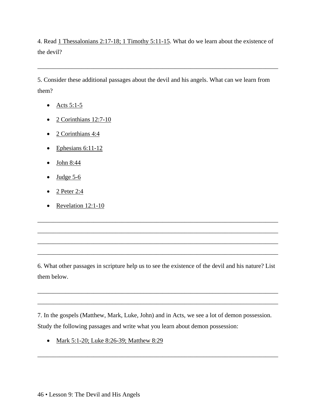4. Read 1 Thessalonians 2:17-18; 1 Timothy 5:11-15. What do we learn about the existence of the devil?

\_\_\_\_\_\_\_\_\_\_\_\_\_\_\_\_\_\_\_\_\_\_\_\_\_\_\_\_\_\_\_\_\_\_\_\_\_\_\_\_\_\_\_\_\_\_\_\_\_\_\_\_\_\_\_\_\_\_\_\_\_\_\_\_\_\_\_\_\_\_\_\_\_\_\_\_\_

5. Consider these additional passages about the devil and his angels. What can we learn from them?

- Acts  $5:1-5$
- $\bullet$  2 Corinthians 12:7-10
- $2$  Corinthians 4:4
- $\bullet$  Ephesians 6:11-12
- John 8:44
- Judge  $5-6$
- 2 Peter 2:4
- Revelation 12:1-10

6. What other passages in scripture help us to see the existence of the devil and his nature? List them below.

\_\_\_\_\_\_\_\_\_\_\_\_\_\_\_\_\_\_\_\_\_\_\_\_\_\_\_\_\_\_\_\_\_\_\_\_\_\_\_\_\_\_\_\_\_\_\_\_\_\_\_\_\_\_\_\_\_\_\_\_\_\_\_\_\_\_\_\_\_\_\_\_\_\_\_\_\_

\_\_\_\_\_\_\_\_\_\_\_\_\_\_\_\_\_\_\_\_\_\_\_\_\_\_\_\_\_\_\_\_\_\_\_\_\_\_\_\_\_\_\_\_\_\_\_\_\_\_\_\_\_\_\_\_\_\_\_\_\_\_\_\_\_\_\_\_\_\_\_\_\_\_\_\_\_

\_\_\_\_\_\_\_\_\_\_\_\_\_\_\_\_\_\_\_\_\_\_\_\_\_\_\_\_\_\_\_\_\_\_\_\_\_\_\_\_\_\_\_\_\_\_\_\_\_\_\_\_\_\_\_\_\_\_\_\_\_\_\_\_\_\_\_\_\_\_\_\_\_\_\_\_\_

\_\_\_\_\_\_\_\_\_\_\_\_\_\_\_\_\_\_\_\_\_\_\_\_\_\_\_\_\_\_\_\_\_\_\_\_\_\_\_\_\_\_\_\_\_\_\_\_\_\_\_\_\_\_\_\_\_\_\_\_\_\_\_\_\_\_\_\_\_\_\_\_\_\_\_\_\_

\_\_\_\_\_\_\_\_\_\_\_\_\_\_\_\_\_\_\_\_\_\_\_\_\_\_\_\_\_\_\_\_\_\_\_\_\_\_\_\_\_\_\_\_\_\_\_\_\_\_\_\_\_\_\_\_\_\_\_\_\_\_\_\_\_\_\_\_\_\_\_\_\_\_\_\_\_

\_\_\_\_\_\_\_\_\_\_\_\_\_\_\_\_\_\_\_\_\_\_\_\_\_\_\_\_\_\_\_\_\_\_\_\_\_\_\_\_\_\_\_\_\_\_\_\_\_\_\_\_\_\_\_\_\_\_\_\_\_\_\_\_\_\_\_\_\_\_\_\_\_\_\_\_\_

7. In the gospels (Matthew, Mark, Luke, John) and in Acts, we see a lot of demon possession. Study the following passages and write what you learn about demon possession:

\_\_\_\_\_\_\_\_\_\_\_\_\_\_\_\_\_\_\_\_\_\_\_\_\_\_\_\_\_\_\_\_\_\_\_\_\_\_\_\_\_\_\_\_\_\_\_\_\_\_\_\_\_\_\_\_\_\_\_\_\_\_\_\_\_\_\_\_\_\_\_\_\_\_\_\_\_

• Mark 5:1-20; Luke 8:26-39; Matthew 8:29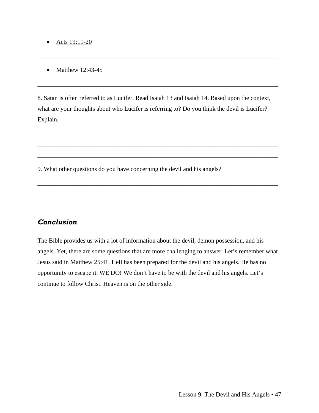#### • Acts  $19:11-20$

#### • Matthew 12:43-45

8. Satan is often referred to as Lucifer. Read Isaiah 13 and Isaiah 14. Based upon the context, what are your thoughts about who Lucifer is referring to? Do you think the devil is Lucifer? Explain.

\_\_\_\_\_\_\_\_\_\_\_\_\_\_\_\_\_\_\_\_\_\_\_\_\_\_\_\_\_\_\_\_\_\_\_\_\_\_\_\_\_\_\_\_\_\_\_\_\_\_\_\_\_\_\_\_\_\_\_\_\_\_\_\_\_\_\_\_\_\_\_\_\_\_\_\_\_

\_\_\_\_\_\_\_\_\_\_\_\_\_\_\_\_\_\_\_\_\_\_\_\_\_\_\_\_\_\_\_\_\_\_\_\_\_\_\_\_\_\_\_\_\_\_\_\_\_\_\_\_\_\_\_\_\_\_\_\_\_\_\_\_\_\_\_\_\_\_\_\_\_\_\_\_\_

\_\_\_\_\_\_\_\_\_\_\_\_\_\_\_\_\_\_\_\_\_\_\_\_\_\_\_\_\_\_\_\_\_\_\_\_\_\_\_\_\_\_\_\_\_\_\_\_\_\_\_\_\_\_\_\_\_\_\_\_\_\_\_\_\_\_\_\_\_\_\_\_\_\_\_\_\_

\_\_\_\_\_\_\_\_\_\_\_\_\_\_\_\_\_\_\_\_\_\_\_\_\_\_\_\_\_\_\_\_\_\_\_\_\_\_\_\_\_\_\_\_\_\_\_\_\_\_\_\_\_\_\_\_\_\_\_\_\_\_\_\_\_\_\_\_\_\_\_\_\_\_\_\_\_

\_\_\_\_\_\_\_\_\_\_\_\_\_\_\_\_\_\_\_\_\_\_\_\_\_\_\_\_\_\_\_\_\_\_\_\_\_\_\_\_\_\_\_\_\_\_\_\_\_\_\_\_\_\_\_\_\_\_\_\_\_\_\_\_\_\_\_\_\_\_\_\_\_\_\_\_\_

\_\_\_\_\_\_\_\_\_\_\_\_\_\_\_\_\_\_\_\_\_\_\_\_\_\_\_\_\_\_\_\_\_\_\_\_\_\_\_\_\_\_\_\_\_\_\_\_\_\_\_\_\_\_\_\_\_\_\_\_\_\_\_\_\_\_\_\_\_\_\_\_\_\_\_\_\_

\_\_\_\_\_\_\_\_\_\_\_\_\_\_\_\_\_\_\_\_\_\_\_\_\_\_\_\_\_\_\_\_\_\_\_\_\_\_\_\_\_\_\_\_\_\_\_\_\_\_\_\_\_\_\_\_\_\_\_\_\_\_\_\_\_\_\_\_\_\_\_\_\_\_\_\_\_

\_\_\_\_\_\_\_\_\_\_\_\_\_\_\_\_\_\_\_\_\_\_\_\_\_\_\_\_\_\_\_\_\_\_\_\_\_\_\_\_\_\_\_\_\_\_\_\_\_\_\_\_\_\_\_\_\_\_\_\_\_\_\_\_\_\_\_\_\_\_\_\_\_\_\_\_\_

9. What other questions do you have concerning the devil and his angels?

#### *Conclusion*

The Bible provides us with a lot of information about the devil, demon possession, and his angels. Yet, there are some questions that are more challenging to answer. Let's remember what Jesus said in Matthew 25:41. Hell has been prepared for the devil and his angels. He has no opportunity to escape it. WE DO! We don't have to be with the devil and his angels. Let's continue to follow Christ. Heaven is on the other side.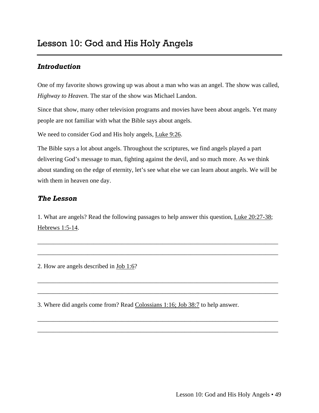<span id="page-50-0"></span>One of my favorite shows growing up was about a man who was an angel. The show was called, *Highway to Heaven*. The star of the show was Michael Landon.

Since that show, many other television programs and movies have been about angels. Yet many people are not familiar with what the Bible says about angels.

We need to consider God and His holy angels, Luke 9:26.

The Bible says a lot about angels. Throughout the scriptures, we find angels played a part delivering God's message to man, fighting against the devil, and so much more. As we think about standing on the edge of eternity, let's see what else we can learn about angels. We will be with them in heaven one day.

## *The Lesson*

1. What are angels? Read the following passages to help answer this question, Luke 20:27-38; Hebrews 1:5-14.

\_\_\_\_\_\_\_\_\_\_\_\_\_\_\_\_\_\_\_\_\_\_\_\_\_\_\_\_\_\_\_\_\_\_\_\_\_\_\_\_\_\_\_\_\_\_\_\_\_\_\_\_\_\_\_\_\_\_\_\_\_\_\_\_\_\_\_\_\_\_\_\_\_\_\_\_\_

\_\_\_\_\_\_\_\_\_\_\_\_\_\_\_\_\_\_\_\_\_\_\_\_\_\_\_\_\_\_\_\_\_\_\_\_\_\_\_\_\_\_\_\_\_\_\_\_\_\_\_\_\_\_\_\_\_\_\_\_\_\_\_\_\_\_\_\_\_\_\_\_\_\_\_\_\_

\_\_\_\_\_\_\_\_\_\_\_\_\_\_\_\_\_\_\_\_\_\_\_\_\_\_\_\_\_\_\_\_\_\_\_\_\_\_\_\_\_\_\_\_\_\_\_\_\_\_\_\_\_\_\_\_\_\_\_\_\_\_\_\_\_\_\_\_\_\_\_\_\_\_\_\_\_

\_\_\_\_\_\_\_\_\_\_\_\_\_\_\_\_\_\_\_\_\_\_\_\_\_\_\_\_\_\_\_\_\_\_\_\_\_\_\_\_\_\_\_\_\_\_\_\_\_\_\_\_\_\_\_\_\_\_\_\_\_\_\_\_\_\_\_\_\_\_\_\_\_\_\_\_\_

\_\_\_\_\_\_\_\_\_\_\_\_\_\_\_\_\_\_\_\_\_\_\_\_\_\_\_\_\_\_\_\_\_\_\_\_\_\_\_\_\_\_\_\_\_\_\_\_\_\_\_\_\_\_\_\_\_\_\_\_\_\_\_\_\_\_\_\_\_\_\_\_\_\_\_\_\_

\_\_\_\_\_\_\_\_\_\_\_\_\_\_\_\_\_\_\_\_\_\_\_\_\_\_\_\_\_\_\_\_\_\_\_\_\_\_\_\_\_\_\_\_\_\_\_\_\_\_\_\_\_\_\_\_\_\_\_\_\_\_\_\_\_\_\_\_\_\_\_\_\_\_\_\_\_

2. How are angels described in Job 1:6?

3. Where did angels come from? Read Colossians 1:16; Job 38:7 to help answer.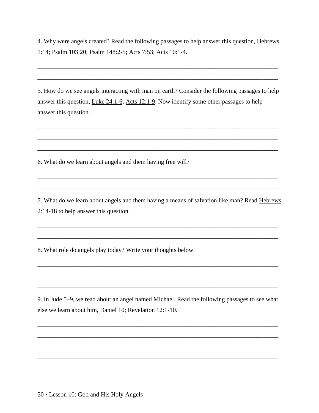4. Why were angels created? Read the following passages to help answer this question, Hebrews 1:14; Psalm 103:20; Psalm 148:2-5; Acts 7:53; Acts 10:1-4.

\_\_\_\_\_\_\_\_\_\_\_\_\_\_\_\_\_\_\_\_\_\_\_\_\_\_\_\_\_\_\_\_\_\_\_\_\_\_\_\_\_\_\_\_\_\_\_\_\_\_\_\_\_\_\_\_\_\_\_\_\_\_\_\_\_\_\_\_\_\_\_\_\_\_\_\_\_

\_\_\_\_\_\_\_\_\_\_\_\_\_\_\_\_\_\_\_\_\_\_\_\_\_\_\_\_\_\_\_\_\_\_\_\_\_\_\_\_\_\_\_\_\_\_\_\_\_\_\_\_\_\_\_\_\_\_\_\_\_\_\_\_\_\_\_\_\_\_\_\_\_\_\_\_\_

5. How do we see angels interacting with man on earth? Consider the following passages to help answer this question, Luke 24:1-6; Acts 12:1-9. Now identify some other passages to help answer this question.

\_\_\_\_\_\_\_\_\_\_\_\_\_\_\_\_\_\_\_\_\_\_\_\_\_\_\_\_\_\_\_\_\_\_\_\_\_\_\_\_\_\_\_\_\_\_\_\_\_\_\_\_\_\_\_\_\_\_\_\_\_\_\_\_\_\_\_\_\_\_\_\_\_\_\_\_\_

\_\_\_\_\_\_\_\_\_\_\_\_\_\_\_\_\_\_\_\_\_\_\_\_\_\_\_\_\_\_\_\_\_\_\_\_\_\_\_\_\_\_\_\_\_\_\_\_\_\_\_\_\_\_\_\_\_\_\_\_\_\_\_\_\_\_\_\_\_\_\_\_\_\_\_\_\_

\_\_\_\_\_\_\_\_\_\_\_\_\_\_\_\_\_\_\_\_\_\_\_\_\_\_\_\_\_\_\_\_\_\_\_\_\_\_\_\_\_\_\_\_\_\_\_\_\_\_\_\_\_\_\_\_\_\_\_\_\_\_\_\_\_\_\_\_\_\_\_\_\_\_\_\_\_

\_\_\_\_\_\_\_\_\_\_\_\_\_\_\_\_\_\_\_\_\_\_\_\_\_\_\_\_\_\_\_\_\_\_\_\_\_\_\_\_\_\_\_\_\_\_\_\_\_\_\_\_\_\_\_\_\_\_\_\_\_\_\_\_\_\_\_\_\_\_\_\_\_\_\_\_\_

\_\_\_\_\_\_\_\_\_\_\_\_\_\_\_\_\_\_\_\_\_\_\_\_\_\_\_\_\_\_\_\_\_\_\_\_\_\_\_\_\_\_\_\_\_\_\_\_\_\_\_\_\_\_\_\_\_\_\_\_\_\_\_\_\_\_\_\_\_\_\_\_\_\_\_\_\_

6. What do we learn about angels and them having free will?

7. What do we learn about angels and them having a means of salvation like man? Read Hebrews 2:14-18 to help answer this question.

\_\_\_\_\_\_\_\_\_\_\_\_\_\_\_\_\_\_\_\_\_\_\_\_\_\_\_\_\_\_\_\_\_\_\_\_\_\_\_\_\_\_\_\_\_\_\_\_\_\_\_\_\_\_\_\_\_\_\_\_\_\_\_\_\_\_\_\_\_\_\_\_\_\_\_\_\_

\_\_\_\_\_\_\_\_\_\_\_\_\_\_\_\_\_\_\_\_\_\_\_\_\_\_\_\_\_\_\_\_\_\_\_\_\_\_\_\_\_\_\_\_\_\_\_\_\_\_\_\_\_\_\_\_\_\_\_\_\_\_\_\_\_\_\_\_\_\_\_\_\_\_\_\_\_

\_\_\_\_\_\_\_\_\_\_\_\_\_\_\_\_\_\_\_\_\_\_\_\_\_\_\_\_\_\_\_\_\_\_\_\_\_\_\_\_\_\_\_\_\_\_\_\_\_\_\_\_\_\_\_\_\_\_\_\_\_\_\_\_\_\_\_\_\_\_\_\_\_\_\_\_\_

\_\_\_\_\_\_\_\_\_\_\_\_\_\_\_\_\_\_\_\_\_\_\_\_\_\_\_\_\_\_\_\_\_\_\_\_\_\_\_\_\_\_\_\_\_\_\_\_\_\_\_\_\_\_\_\_\_\_\_\_\_\_\_\_\_\_\_\_\_\_\_\_\_\_\_\_\_

\_\_\_\_\_\_\_\_\_\_\_\_\_\_\_\_\_\_\_\_\_\_\_\_\_\_\_\_\_\_\_\_\_\_\_\_\_\_\_\_\_\_\_\_\_\_\_\_\_\_\_\_\_\_\_\_\_\_\_\_\_\_\_\_\_\_\_\_\_\_\_\_\_\_\_\_\_

8. What role do angels play today? Write your thoughts below.

9. In Jude 5–9, we read about an angel named Michael. Read the following passages to see what else we learn about him, Daniel 10; Revelation 12:1-10.

\_\_\_\_\_\_\_\_\_\_\_\_\_\_\_\_\_\_\_\_\_\_\_\_\_\_\_\_\_\_\_\_\_\_\_\_\_\_\_\_\_\_\_\_\_\_\_\_\_\_\_\_\_\_\_\_\_\_\_\_\_\_\_\_\_\_\_\_\_\_\_\_\_\_\_\_\_

\_\_\_\_\_\_\_\_\_\_\_\_\_\_\_\_\_\_\_\_\_\_\_\_\_\_\_\_\_\_\_\_\_\_\_\_\_\_\_\_\_\_\_\_\_\_\_\_\_\_\_\_\_\_\_\_\_\_\_\_\_\_\_\_\_\_\_\_\_\_\_\_\_\_\_\_\_

\_\_\_\_\_\_\_\_\_\_\_\_\_\_\_\_\_\_\_\_\_\_\_\_\_\_\_\_\_\_\_\_\_\_\_\_\_\_\_\_\_\_\_\_\_\_\_\_\_\_\_\_\_\_\_\_\_\_\_\_\_\_\_\_\_\_\_\_\_\_\_\_\_\_\_\_\_

\_\_\_\_\_\_\_\_\_\_\_\_\_\_\_\_\_\_\_\_\_\_\_\_\_\_\_\_\_\_\_\_\_\_\_\_\_\_\_\_\_\_\_\_\_\_\_\_\_\_\_\_\_\_\_\_\_\_\_\_\_\_\_\_\_\_\_\_\_\_\_\_\_\_\_\_\_

50 • Lesson 10: God and His Holy Angels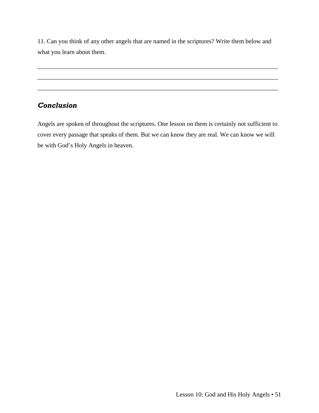11. Can you think of any other angels that are named in the scriptures? Write them below and what you learn about them.

\_\_\_\_\_\_\_\_\_\_\_\_\_\_\_\_\_\_\_\_\_\_\_\_\_\_\_\_\_\_\_\_\_\_\_\_\_\_\_\_\_\_\_\_\_\_\_\_\_\_\_\_\_\_\_\_\_\_\_\_\_\_\_\_\_\_\_\_\_\_\_\_\_\_\_\_\_

\_\_\_\_\_\_\_\_\_\_\_\_\_\_\_\_\_\_\_\_\_\_\_\_\_\_\_\_\_\_\_\_\_\_\_\_\_\_\_\_\_\_\_\_\_\_\_\_\_\_\_\_\_\_\_\_\_\_\_\_\_\_\_\_\_\_\_\_\_\_\_\_\_\_\_\_\_

\_\_\_\_\_\_\_\_\_\_\_\_\_\_\_\_\_\_\_\_\_\_\_\_\_\_\_\_\_\_\_\_\_\_\_\_\_\_\_\_\_\_\_\_\_\_\_\_\_\_\_\_\_\_\_\_\_\_\_\_\_\_\_\_\_\_\_\_\_\_\_\_\_\_\_\_\_

## *Conclusion*

Angels are spoken of throughout the scriptures. One lesson on them is certainly not sufficient to cover every passage that speaks of them. But we can know they are real. We can know we will be with God's Holy Angels in heaven.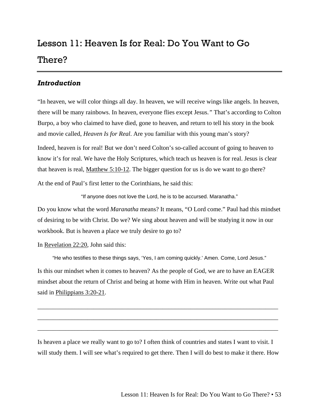# <span id="page-54-0"></span>Lesson 11: Heaven Is for Real: Do You Want to Go There?

#### *Introduction*

"In heaven, we will color things all day. In heaven, we will receive wings like angels. In heaven, there will be many rainbows. In heaven, everyone flies except Jesus.*"* That's according to Colton Burpo, a boy who claimed to have died, gone to heaven, and return to tell his story in the book and movie called, *Heaven Is for Real*. Are you familiar with this young man's story?

Indeed, heaven is for real! But we don't need Colton's so-called account of going to heaven to know it's for real. We have the Holy Scriptures, which teach us heaven is for real. Jesus is clear that heaven is real, Matthew 5:10-12. The bigger question for us is do we want to go there?

At the end of Paul's first letter to the Corinthians, he said this:

"If anyone does not love the Lord, he is to be accursed. Maranatha."

Do you know what the word *Maranatha* means? It means, "O Lord come." Paul had this mindset of desiring to be with Christ. Do we? We sing about heaven and will be studying it now in our workbook. But is heaven a place we truly desire to go to?

In Revelation 22:20, John said this:

"He who testifies to these things says, 'Yes, I am coming quickly.' Amen. Come, Lord Jesus." Is this our mindset when it comes to heaven? As the people of God, we are to have an EAGER mindset about the return of Christ and being at home with Him in heaven. Write out what Paul said in Philippians 3:20-21.

\_\_\_\_\_\_\_\_\_\_\_\_\_\_\_\_\_\_\_\_\_\_\_\_\_\_\_\_\_\_\_\_\_\_\_\_\_\_\_\_\_\_\_\_\_\_\_\_\_\_\_\_\_\_\_\_\_\_\_\_\_\_\_\_\_\_\_\_\_\_\_\_\_\_\_\_\_

\_\_\_\_\_\_\_\_\_\_\_\_\_\_\_\_\_\_\_\_\_\_\_\_\_\_\_\_\_\_\_\_\_\_\_\_\_\_\_\_\_\_\_\_\_\_\_\_\_\_\_\_\_\_\_\_\_\_\_\_\_\_\_\_\_\_\_\_\_\_\_\_\_\_\_\_\_

\_\_\_\_\_\_\_\_\_\_\_\_\_\_\_\_\_\_\_\_\_\_\_\_\_\_\_\_\_\_\_\_\_\_\_\_\_\_\_\_\_\_\_\_\_\_\_\_\_\_\_\_\_\_\_\_\_\_\_\_\_\_\_\_\_\_\_\_\_\_\_\_\_\_\_\_\_

Is heaven a place we really want to go to? I often think of countries and states I want to visit. I will study them. I will see what's required to get there. Then I will do best to make it there. How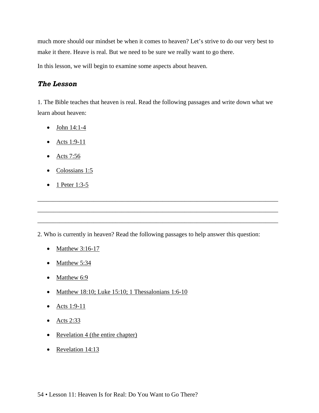much more should our mindset be when it comes to heaven? Let's strive to do our very best to make it there. Heave is real. But we need to be sure we really want to go there.

In this lesson, we will begin to examine some aspects about heaven.

#### *The Lesson*

1. The Bible teaches that heaven is real. Read the following passages and write down what we learn about heaven:

- $\bullet$  John 14:1-4
- Acts 1:9-11
- Acts 7:56
- Colossians 1:5
- 1 Peter  $1:3-5$

2. Who is currently in heaven? Read the following passages to help answer this question:

\_\_\_\_\_\_\_\_\_\_\_\_\_\_\_\_\_\_\_\_\_\_\_\_\_\_\_\_\_\_\_\_\_\_\_\_\_\_\_\_\_\_\_\_\_\_\_\_\_\_\_\_\_\_\_\_\_\_\_\_\_\_\_\_\_\_\_\_\_\_\_\_\_\_\_\_\_

\_\_\_\_\_\_\_\_\_\_\_\_\_\_\_\_\_\_\_\_\_\_\_\_\_\_\_\_\_\_\_\_\_\_\_\_\_\_\_\_\_\_\_\_\_\_\_\_\_\_\_\_\_\_\_\_\_\_\_\_\_\_\_\_\_\_\_\_\_\_\_\_\_\_\_\_\_

\_\_\_\_\_\_\_\_\_\_\_\_\_\_\_\_\_\_\_\_\_\_\_\_\_\_\_\_\_\_\_\_\_\_\_\_\_\_\_\_\_\_\_\_\_\_\_\_\_\_\_\_\_\_\_\_\_\_\_\_\_\_\_\_\_\_\_\_\_\_\_\_\_\_\_\_\_

- Matthew 3:16-17
- Matthew 5:34
- Matthew 6:9
- Matthew 18:10; Luke 15:10; 1 Thessalonians 1:6-10
- Acts  $1:9-11$
- Acts  $2:33$
- Revelation 4 (the entire chapter)
- Revelation 14:13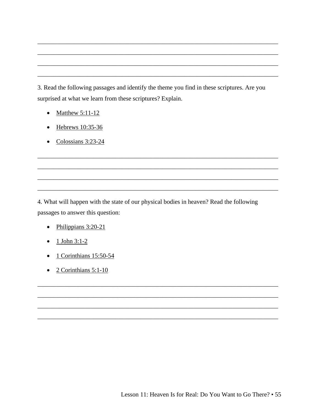3. Read the following passages and identify the theme you find in these scriptures. Are you surprised at what we learn from these scriptures? Explain.

- Matthew  $5:11-12$
- $\bullet$  Hebrews 10:35-36
- $\bullet$  Colossians 3:23-24

4. What will happen with the state of our physical bodies in heaven? Read the following passages to answer this question:

- $\bullet$  Philippians 3:20-21
- $1$  John 3:1-2
- <u>1 Corinthians 15:50-54</u>  $\bullet$
- $\bullet$  2 Corinthians 5:1-10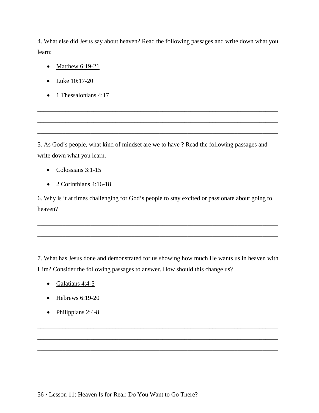4. What else did Jesus say about heaven? Read the following passages and write down what you learn:

- Matthew 6:19-21
- Luke 10:17-20
- 1 Thessalonians  $4:17$

5. As God's people, what kind of mindset are we to have ? Read the following passages and write down what you learn.

\_\_\_\_\_\_\_\_\_\_\_\_\_\_\_\_\_\_\_\_\_\_\_\_\_\_\_\_\_\_\_\_\_\_\_\_\_\_\_\_\_\_\_\_\_\_\_\_\_\_\_\_\_\_\_\_\_\_\_\_\_\_\_\_\_\_\_\_\_\_\_\_\_\_\_\_\_

\_\_\_\_\_\_\_\_\_\_\_\_\_\_\_\_\_\_\_\_\_\_\_\_\_\_\_\_\_\_\_\_\_\_\_\_\_\_\_\_\_\_\_\_\_\_\_\_\_\_\_\_\_\_\_\_\_\_\_\_\_\_\_\_\_\_\_\_\_\_\_\_\_\_\_\_\_

\_\_\_\_\_\_\_\_\_\_\_\_\_\_\_\_\_\_\_\_\_\_\_\_\_\_\_\_\_\_\_\_\_\_\_\_\_\_\_\_\_\_\_\_\_\_\_\_\_\_\_\_\_\_\_\_\_\_\_\_\_\_\_\_\_\_\_\_\_\_\_\_\_\_\_\_\_

- Colossians 3:1-15
- 2 Corinthians 4:16-18

6. Why is it at times challenging for God's people to stay excited or passionate about going to heaven?

\_\_\_\_\_\_\_\_\_\_\_\_\_\_\_\_\_\_\_\_\_\_\_\_\_\_\_\_\_\_\_\_\_\_\_\_\_\_\_\_\_\_\_\_\_\_\_\_\_\_\_\_\_\_\_\_\_\_\_\_\_\_\_\_\_\_\_\_\_\_\_\_\_\_\_\_\_

\_\_\_\_\_\_\_\_\_\_\_\_\_\_\_\_\_\_\_\_\_\_\_\_\_\_\_\_\_\_\_\_\_\_\_\_\_\_\_\_\_\_\_\_\_\_\_\_\_\_\_\_\_\_\_\_\_\_\_\_\_\_\_\_\_\_\_\_\_\_\_\_\_\_\_\_\_

\_\_\_\_\_\_\_\_\_\_\_\_\_\_\_\_\_\_\_\_\_\_\_\_\_\_\_\_\_\_\_\_\_\_\_\_\_\_\_\_\_\_\_\_\_\_\_\_\_\_\_\_\_\_\_\_\_\_\_\_\_\_\_\_\_\_\_\_\_\_\_\_\_\_\_\_\_

7. What has Jesus done and demonstrated for us showing how much He wants us in heaven with Him? Consider the following passages to answer. How should this change us?

\_\_\_\_\_\_\_\_\_\_\_\_\_\_\_\_\_\_\_\_\_\_\_\_\_\_\_\_\_\_\_\_\_\_\_\_\_\_\_\_\_\_\_\_\_\_\_\_\_\_\_\_\_\_\_\_\_\_\_\_\_\_\_\_\_\_\_\_\_\_\_\_\_\_\_\_\_

\_\_\_\_\_\_\_\_\_\_\_\_\_\_\_\_\_\_\_\_\_\_\_\_\_\_\_\_\_\_\_\_\_\_\_\_\_\_\_\_\_\_\_\_\_\_\_\_\_\_\_\_\_\_\_\_\_\_\_\_\_\_\_\_\_\_\_\_\_\_\_\_\_\_\_\_\_

\_\_\_\_\_\_\_\_\_\_\_\_\_\_\_\_\_\_\_\_\_\_\_\_\_\_\_\_\_\_\_\_\_\_\_\_\_\_\_\_\_\_\_\_\_\_\_\_\_\_\_\_\_\_\_\_\_\_\_\_\_\_\_\_\_\_\_\_\_\_\_\_\_\_\_\_\_

- Galatians 4:4-5
- $\bullet$  Hebrews 6:19-20
- Philippians 2:4-8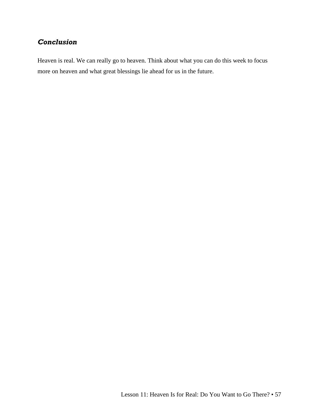## *Conclusion*

Heaven is real. We can really go to heaven. Think about what you can do this week to focus more on heaven and what great blessings lie ahead for us in the future.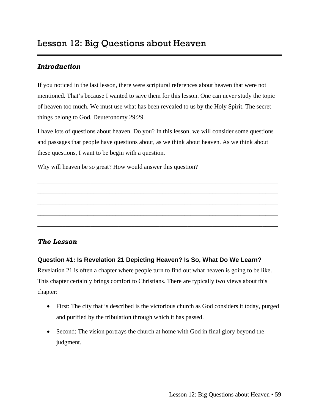<span id="page-60-0"></span>If you noticed in the last lesson, there were scriptural references about heaven that were not mentioned. That's because I wanted to save them for this lesson. One can never study the topic of heaven too much. We must use what has been revealed to us by the Holy Spirit. The secret things belong to God, Deuteronomy 29:29.

I have lots of questions about heaven. Do you? In this lesson, we will consider some questions and passages that people have questions about, as we think about heaven. As we think about these questions, I want to be begin with a question.

\_\_\_\_\_\_\_\_\_\_\_\_\_\_\_\_\_\_\_\_\_\_\_\_\_\_\_\_\_\_\_\_\_\_\_\_\_\_\_\_\_\_\_\_\_\_\_\_\_\_\_\_\_\_\_\_\_\_\_\_\_\_\_\_\_\_\_\_\_\_\_\_\_\_\_\_\_

\_\_\_\_\_\_\_\_\_\_\_\_\_\_\_\_\_\_\_\_\_\_\_\_\_\_\_\_\_\_\_\_\_\_\_\_\_\_\_\_\_\_\_\_\_\_\_\_\_\_\_\_\_\_\_\_\_\_\_\_\_\_\_\_\_\_\_\_\_\_\_\_\_\_\_\_\_

\_\_\_\_\_\_\_\_\_\_\_\_\_\_\_\_\_\_\_\_\_\_\_\_\_\_\_\_\_\_\_\_\_\_\_\_\_\_\_\_\_\_\_\_\_\_\_\_\_\_\_\_\_\_\_\_\_\_\_\_\_\_\_\_\_\_\_\_\_\_\_\_\_\_\_\_\_

\_\_\_\_\_\_\_\_\_\_\_\_\_\_\_\_\_\_\_\_\_\_\_\_\_\_\_\_\_\_\_\_\_\_\_\_\_\_\_\_\_\_\_\_\_\_\_\_\_\_\_\_\_\_\_\_\_\_\_\_\_\_\_\_\_\_\_\_\_\_\_\_\_\_\_\_\_

\_\_\_\_\_\_\_\_\_\_\_\_\_\_\_\_\_\_\_\_\_\_\_\_\_\_\_\_\_\_\_\_\_\_\_\_\_\_\_\_\_\_\_\_\_\_\_\_\_\_\_\_\_\_\_\_\_\_\_\_\_\_\_\_\_\_\_\_\_\_\_\_\_\_\_\_\_

Why will heaven be so great? How would answer this question?

#### *The Lesson*

#### **Question #1: Is Revelation 21 Depicting Heaven? Is So, What Do We Learn?**

Revelation 21 is often a chapter where people turn to find out what heaven is going to be like. This chapter certainly brings comfort to Christians. There are typically two views about this chapter:

- First: The city that is described is the victorious church as God considers it today, purged and purified by the tribulation through which it has passed.
- Second: The vision portrays the church at home with God in final glory beyond the judgment.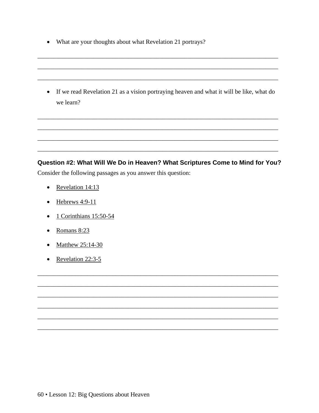• What are your thoughts about what Revelation 21 portrays?

• If we read Revelation 21 as a vision portraying heaven and what it will be like, what do we learn?

## Question #2: What Will We Do in Heaven? What Scriptures Come to Mind for You? Consider the following passages as you answer this question:

- Revelation 14:13
- $\bullet$  Hebrews 4:9-11
- $\bullet$  1 Corinthians 15:50-54
- $\bullet$  Romans 8:23
- $\bullet$  Matthew 25:14-30
- Revelation  $22:3-5$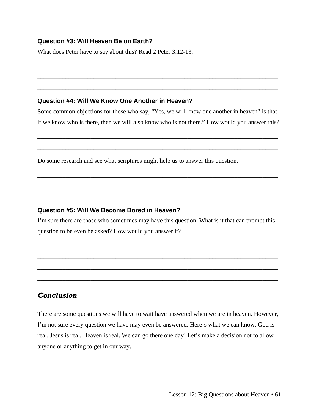#### **Question #3: Will Heaven Be on Earth?**

What does Peter have to say about this? Read 2 Peter 3:12-13.

#### **Question #4: Will We Know One Another in Heaven?**

Some common objections for those who say, "Yes, we will know one another in heaven" is that if we know who is there, then we will also know who is not there." How would you answer this?

\_\_\_\_\_\_\_\_\_\_\_\_\_\_\_\_\_\_\_\_\_\_\_\_\_\_\_\_\_\_\_\_\_\_\_\_\_\_\_\_\_\_\_\_\_\_\_\_\_\_\_\_\_\_\_\_\_\_\_\_\_\_\_\_\_\_\_\_\_\_\_\_\_\_\_\_\_

\_\_\_\_\_\_\_\_\_\_\_\_\_\_\_\_\_\_\_\_\_\_\_\_\_\_\_\_\_\_\_\_\_\_\_\_\_\_\_\_\_\_\_\_\_\_\_\_\_\_\_\_\_\_\_\_\_\_\_\_\_\_\_\_\_\_\_\_\_\_\_\_\_\_\_\_\_

\_\_\_\_\_\_\_\_\_\_\_\_\_\_\_\_\_\_\_\_\_\_\_\_\_\_\_\_\_\_\_\_\_\_\_\_\_\_\_\_\_\_\_\_\_\_\_\_\_\_\_\_\_\_\_\_\_\_\_\_\_\_\_\_\_\_\_\_\_\_\_\_\_\_\_\_\_

\_\_\_\_\_\_\_\_\_\_\_\_\_\_\_\_\_\_\_\_\_\_\_\_\_\_\_\_\_\_\_\_\_\_\_\_\_\_\_\_\_\_\_\_\_\_\_\_\_\_\_\_\_\_\_\_\_\_\_\_\_\_\_\_\_\_\_\_\_\_\_\_\_\_\_\_\_

\_\_\_\_\_\_\_\_\_\_\_\_\_\_\_\_\_\_\_\_\_\_\_\_\_\_\_\_\_\_\_\_\_\_\_\_\_\_\_\_\_\_\_\_\_\_\_\_\_\_\_\_\_\_\_\_\_\_\_\_\_\_\_\_\_\_\_\_\_\_\_\_\_\_\_\_\_

\_\_\_\_\_\_\_\_\_\_\_\_\_\_\_\_\_\_\_\_\_\_\_\_\_\_\_\_\_\_\_\_\_\_\_\_\_\_\_\_\_\_\_\_\_\_\_\_\_\_\_\_\_\_\_\_\_\_\_\_\_\_\_\_\_\_\_\_\_\_\_\_\_\_\_\_\_

\_\_\_\_\_\_\_\_\_\_\_\_\_\_\_\_\_\_\_\_\_\_\_\_\_\_\_\_\_\_\_\_\_\_\_\_\_\_\_\_\_\_\_\_\_\_\_\_\_\_\_\_\_\_\_\_\_\_\_\_\_\_\_\_\_\_\_\_\_\_\_\_\_\_\_\_\_

\_\_\_\_\_\_\_\_\_\_\_\_\_\_\_\_\_\_\_\_\_\_\_\_\_\_\_\_\_\_\_\_\_\_\_\_\_\_\_\_\_\_\_\_\_\_\_\_\_\_\_\_\_\_\_\_\_\_\_\_\_\_\_\_\_\_\_\_\_\_\_\_\_\_\_\_\_

Do some research and see what scriptures might help us to answer this question.

#### **Question #5: Will We Become Bored in Heaven?**

I'm sure there are those who sometimes may have this question. What is it that can prompt this question to be even be asked? How would you answer it?

\_\_\_\_\_\_\_\_\_\_\_\_\_\_\_\_\_\_\_\_\_\_\_\_\_\_\_\_\_\_\_\_\_\_\_\_\_\_\_\_\_\_\_\_\_\_\_\_\_\_\_\_\_\_\_\_\_\_\_\_\_\_\_\_\_\_\_\_\_\_\_\_\_\_\_\_\_

\_\_\_\_\_\_\_\_\_\_\_\_\_\_\_\_\_\_\_\_\_\_\_\_\_\_\_\_\_\_\_\_\_\_\_\_\_\_\_\_\_\_\_\_\_\_\_\_\_\_\_\_\_\_\_\_\_\_\_\_\_\_\_\_\_\_\_\_\_\_\_\_\_\_\_\_\_

\_\_\_\_\_\_\_\_\_\_\_\_\_\_\_\_\_\_\_\_\_\_\_\_\_\_\_\_\_\_\_\_\_\_\_\_\_\_\_\_\_\_\_\_\_\_\_\_\_\_\_\_\_\_\_\_\_\_\_\_\_\_\_\_\_\_\_\_\_\_\_\_\_\_\_\_\_

\_\_\_\_\_\_\_\_\_\_\_\_\_\_\_\_\_\_\_\_\_\_\_\_\_\_\_\_\_\_\_\_\_\_\_\_\_\_\_\_\_\_\_\_\_\_\_\_\_\_\_\_\_\_\_\_\_\_\_\_\_\_\_\_\_\_\_\_\_\_\_\_\_\_\_\_\_

## *Conclusion*

There are some questions we will have to wait have answered when we are in heaven. However, I'm not sure every question we have may even be answered. Here's what we can know. God is real. Jesus is real. Heaven is real. We can go there one day! Let's make a decision not to allow anyone or anything to get in our way.